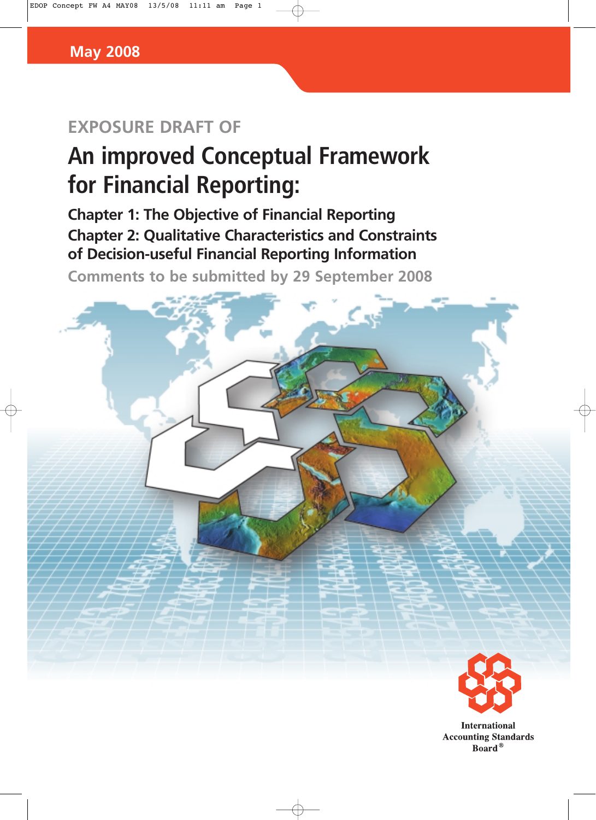# **EXPOSURE DRAFT OF**

# **An improved Conceptual Framework for Financial Reporting:**

**Chapter 1: The Objective of Financial Reporting Chapter 2: Qualitative Characteristics and Constraints of Decision-useful Financial Reporting Information**

**Comments to be submitted by 29 September 2008**



**International Accounting Standards** Board<sup>®</sup>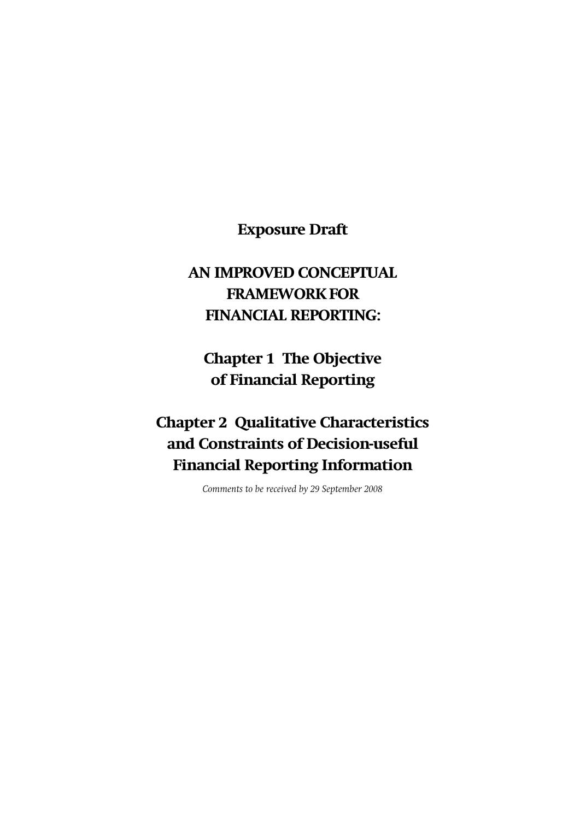**Exposure Draft**

# **AN IMPROVED CONCEPTUAL FRAMEWORK FOR FINANCIAL REPORTING:**

**Chapter 1 The Objective of Financial Reporting**

# **Chapter 2 Qualitative Characteristics and Constraints of Decision-useful Financial Reporting Information**

*Comments to be received by 29 September 2008*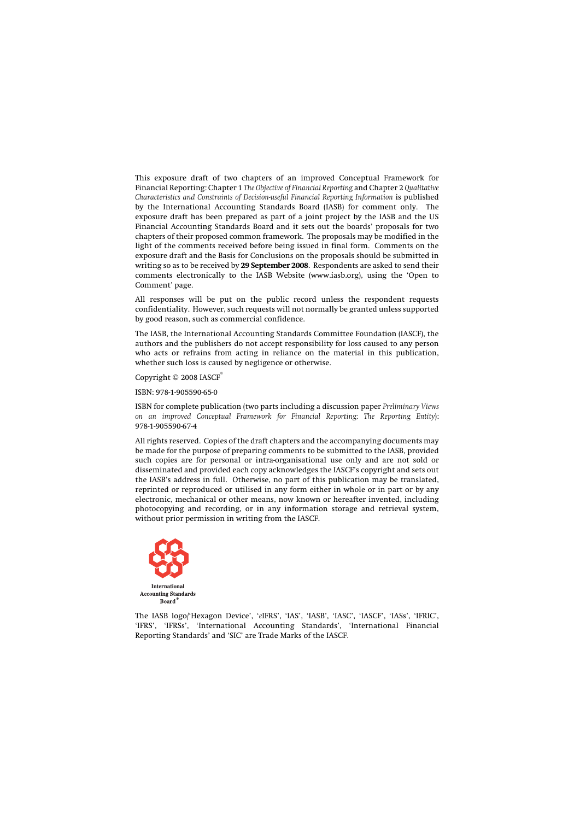This exposure draft of two chapters of an improved Conceptual Framework for Financial Reporting: Chapter 1 *The Objective of Financial Reporting* and Chapter 2 *Qualitative Characteristics and Constraints of Decision-useful Financial Reporting Information* is published by the International Accounting Standards Board (IASB) for comment only. The exposure draft has been prepared as part of a joint project by the IASB and the US Financial Accounting Standards Board and it sets out the boards' proposals for two chapters of their proposed common framework. The proposals may be modified in the light of the comments received before being issued in final form. Comments on the exposure draft and the Basis for Conclusions on the proposals should be submitted in writing so as to be received by **29 September 2008**. Respondents are asked to send their comments electronically to the IASB Website (www.iasb.org), using the 'Open to Comment' page.

All responses will be put on the public record unless the respondent requests confidentiality. However, such requests will not normally be granted unless supported by good reason, such as commercial confidence.

The IASB, the International Accounting Standards Committee Foundation (IASCF), the authors and the publishers do not accept responsibility for loss caused to any person who acts or refrains from acting in reliance on the material in this publication, whether such loss is caused by negligence or otherwise.

Copyright © 2008 IASCF®

ISBN: 978-1-905590-65-0

ISBN for complete publication (two parts including a discussion paper *Preliminary Views on an improved Conceptual Framework for Financial Reporting: The Reporting Entity*): 978-1-905590-67-4

All rights reserved. Copies of the draft chapters and the accompanying documents may be made for the purpose of preparing comments to be submitted to the IASB, provided such copies are for personal or intra-organisational use only and are not sold or disseminated and provided each copy acknowledges the IASCF's copyright and sets out the IASB's address in full. Otherwise, no part of this publication may be translated, reprinted or reproduced or utilised in any form either in whole or in part or by any electronic, mechanical or other means, now known or hereafter invented, including photocopying and recording, or in any information storage and retrieval system, without prior permission in writing from the IASCF.



The IASB logo/'Hexagon Device', '*e*IFRS', 'IAS', 'IASB', 'IASC', 'IASCF', 'IASs', 'IFRIC', 'IFRS', 'IFRSs', 'International Accounting Standards', 'International Financial Reporting Standards' and 'SIC' are Trade Marks of the IASCF.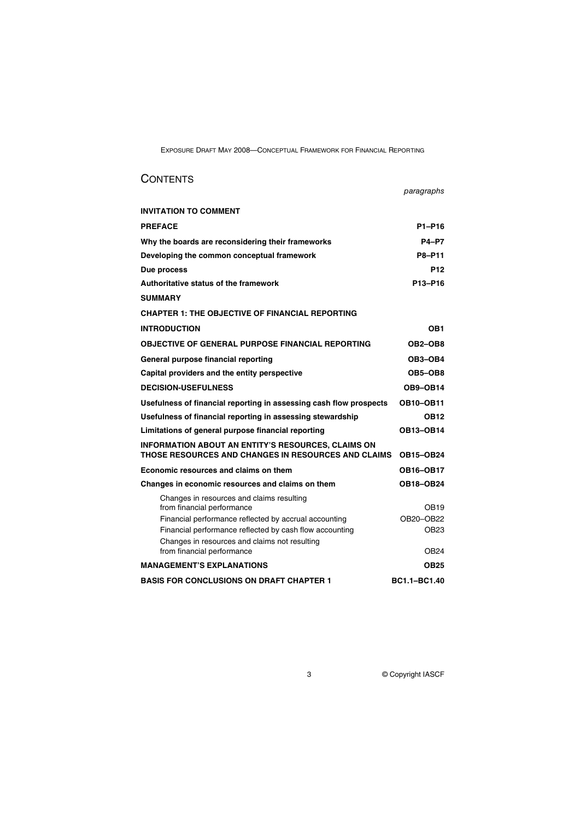# **CONTENTS**

| <b>INVITATION TO COMMENT</b>                                                                                                                                                                |                                       |
|---------------------------------------------------------------------------------------------------------------------------------------------------------------------------------------------|---------------------------------------|
| <b>PREFACE</b>                                                                                                                                                                              | P1-P16                                |
| Why the boards are reconsidering their frameworks                                                                                                                                           | <b>P4-P7</b>                          |
| Developing the common conceptual framework                                                                                                                                                  | P8-P11                                |
| Due process                                                                                                                                                                                 | <b>P12</b>                            |
| Authoritative status of the framework                                                                                                                                                       | P13-P16                               |
| <b>SUMMARY</b>                                                                                                                                                                              |                                       |
| <b>CHAPTER 1: THE OBJECTIVE OF FINANCIAL REPORTING</b>                                                                                                                                      |                                       |
| <b>INTRODUCTION</b>                                                                                                                                                                         | OB <sub>1</sub>                       |
| <b>OBJECTIVE OF GENERAL PURPOSE FINANCIAL REPORTING</b>                                                                                                                                     | <b>OB2-OB8</b>                        |
| General purpose financial reporting                                                                                                                                                         | <b>OB3-OB4</b>                        |
| Capital providers and the entity perspective                                                                                                                                                | <b>OB5–OB8</b>                        |
| <b>DECISION-USEFULNESS</b>                                                                                                                                                                  | <b>OB9-OB14</b>                       |
| Usefulness of financial reporting in assessing cash flow prospects                                                                                                                          | <b>OB10-OB11</b>                      |
| Usefulness of financial reporting in assessing stewardship                                                                                                                                  | <b>OB12</b>                           |
| Limitations of general purpose financial reporting                                                                                                                                          | <b>OB13-OB14</b>                      |
| <b>INFORMATION ABOUT AN ENTITY'S RESOURCES, CLAIMS ON</b><br>THOSE RESOURCES AND CHANGES IN RESOURCES AND CLAIMS                                                                            | OB15-OB24                             |
| Economic resources and claims on them                                                                                                                                                       | <b>OB16-OB17</b>                      |
| Changes in economic resources and claims on them                                                                                                                                            | OB18-OB24                             |
| Changes in resources and claims resulting<br>from financial performance<br>Financial performance reflected by accrual accounting<br>Financial performance reflected by cash flow accounting | OB19<br>OB20-OB22<br>OB <sub>23</sub> |
| Changes in resources and claims not resulting<br>from financial performance                                                                                                                 | OB24                                  |
| <b>MANAGEMENT'S EXPLANATIONS</b>                                                                                                                                                            | <b>OB25</b>                           |
| <b>BASIS FOR CONCLUSIONS ON DRAFT CHAPTER 1</b>                                                                                                                                             | BC1.1-BC1.40                          |

paragraphs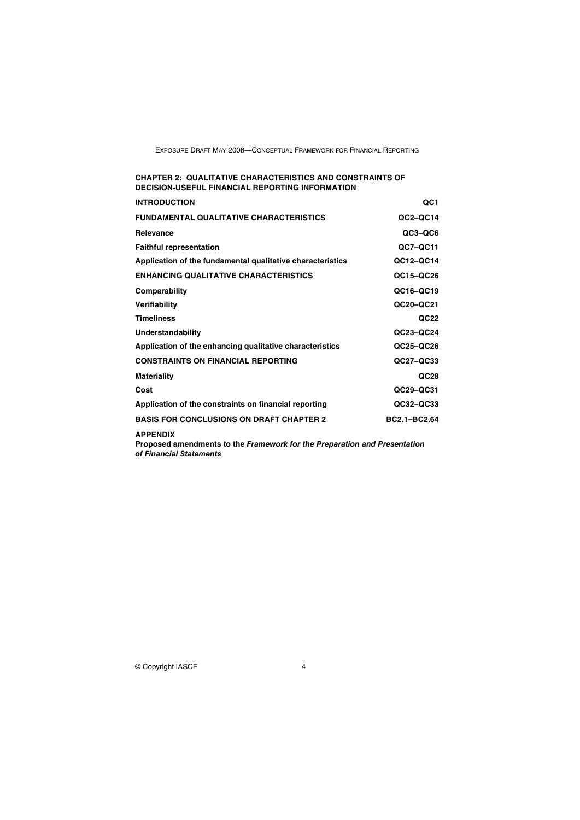# **CHAPTER 2: QUALITATIVE CHARACTERISTICS AND CONSTRAINTS OF DECISION-USEFUL FINANCIAL REPORTING INFORMATION INTRODUCTION** QC1 **FUNDAMENTAL QUALITATIVE CHARACTERISTICS QC2–QC14 Relevance QC3–QC6 Faithful representation QC7–QC11 Application of the fundamental qualitative characteristics QC12–QC14 ENHANCING QUALITATIVE CHARACTERISTICS QC15–QC26 Comparability QC16–QC19 Verifiability QC20–QC21 Timeliness QC22 Understandability QC23–QC24 Application of the enhancing qualitative characteristics QC25–QC26 CONSTRAINTS ON FINANCIAL REPORTING QC27–QC33 Materiality QC28 Cost QC29–QC31 Application of the constraints on financial reporting QC32–QC33** BASIS FOR CONCLUSIONS ON DRAFT CHAPTER 2 BC2.1-BC2.64 **APPENDIX**

**Proposed amendments to the** *Framework for the Preparation and Presentation of Financial Statements*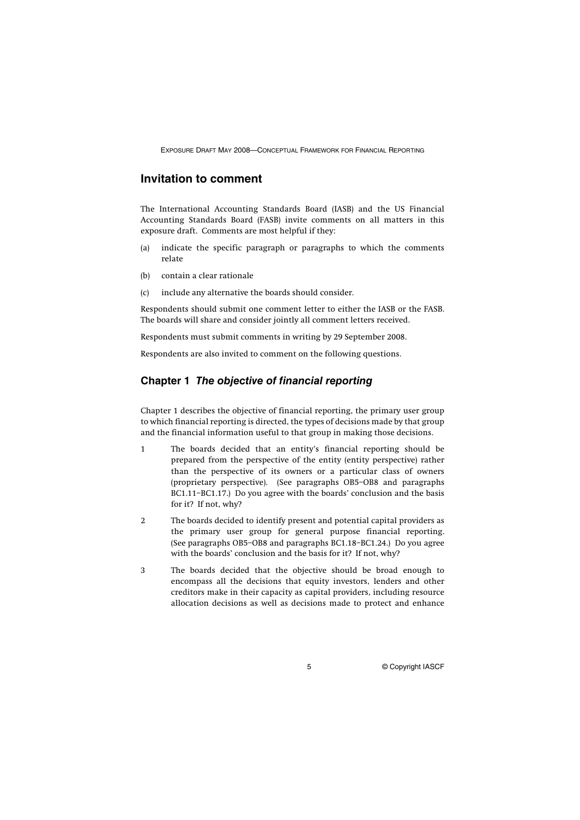# **Invitation to comment**

The International Accounting Standards Board (IASB) and the US Financial Accounting Standards Board (FASB) invite comments on all matters in this exposure draft. Comments are most helpful if they:

- (a) indicate the specific paragraph or paragraphs to which the comments relate
- (b) contain a clear rationale
- (c) include any alternative the boards should consider.

Respondents should submit one comment letter to either the IASB or the FASB. The boards will share and consider jointly all comment letters received.

Respondents must submit comments in writing by 29 September 2008.

Respondents are also invited to comment on the following questions.

# **Chapter 1** *The objective of financial reporting*

Chapter 1 describes the objective of financial reporting, the primary user group to which financial reporting is directed, the types of decisions made by that group and the financial information useful to that group in making those decisions.

- 1 The boards decided that an entity's financial reporting should be prepared from the perspective of the entity (entity perspective) rather than the perspective of its owners or a particular class of owners (proprietary perspective). (See paragraphs OB5–OB8 and paragraphs BC1.11–BC1.17.) Do you agree with the boards' conclusion and the basis for it? If not, why?
- 2 The boards decided to identify present and potential capital providers as the primary user group for general purpose financial reporting. (See paragraphs OB5–OB8 and paragraphs BC1.18–BC1.24.) Do you agree with the boards' conclusion and the basis for it? If not, why?
- 3 The boards decided that the objective should be broad enough to encompass all the decisions that equity investors, lenders and other creditors make in their capacity as capital providers, including resource allocation decisions as well as decisions made to protect and enhance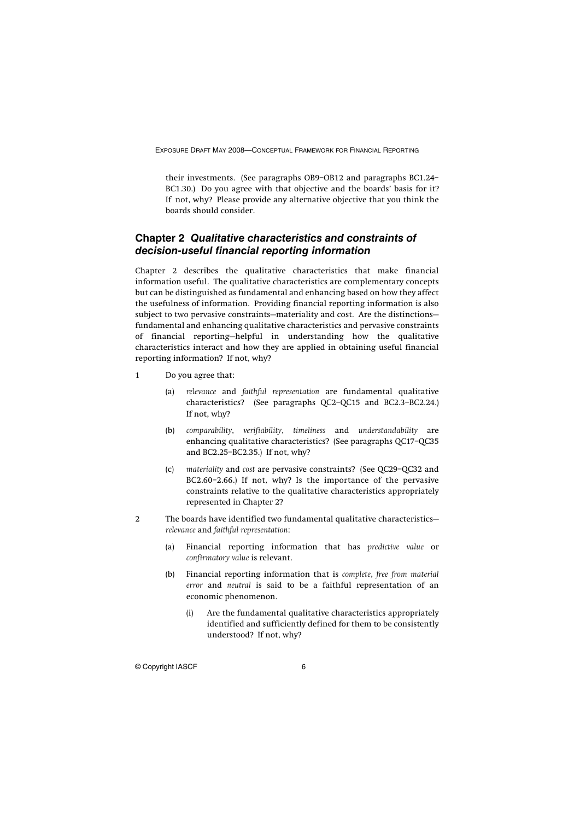their investments. (See paragraphs OB9–OB12 and paragraphs BC1.24– BC1.30.) Do you agree with that objective and the boards' basis for it? If not, why? Please provide any alternative objective that you think the boards should consider.

# **Chapter 2** *Qualitative characteristics and constraints of decision-useful financial reporting information*

Chapter 2 describes the qualitative characteristics that make financial information useful. The qualitative characteristics are complementary concepts but can be distinguished as fundamental and enhancing based on how they affect the usefulness of information. Providing financial reporting information is also subject to two pervasive constraints—materiality and cost. Are the distinctions fundamental and enhancing qualitative characteristics and pervasive constraints of financial reporting—helpful in understanding how the qualitative characteristics interact and how they are applied in obtaining useful financial reporting information? If not, why?

- 1 Do you agree that:
	- (a) *relevance* and *faithful representation* are fundamental qualitative characteristics? (See paragraphs QC2–QC15 and BC2.3–BC2.24.) If not, why?
	- (b) *comparability*, *verifiability*, *timeliness* and *understandability* are enhancing qualitative characteristics? (See paragraphs QC17–QC35 and BC2.25–BC2.35.) If not, why?
	- (c) *materiality* and *cost* are pervasive constraints? (See QC29–QC32 and BC2.60–2.66.) If not, why? Is the importance of the pervasive constraints relative to the qualitative characteristics appropriately represented in Chapter 2?
- 2 The boards have identified two fundamental qualitative characteristics *relevance* and *faithful representation*:
	- (a) Financial reporting information that has *predictive value* or *confirmatory value* is relevant.
	- (b) Financial reporting information that is *complete*, *free from material error* and *neutral* is said to be a faithful representation of an economic phenomenon.
		- (i) Are the fundamental qualitative characteristics appropriately identified and sufficiently defined for them to be consistently understood? If not, why?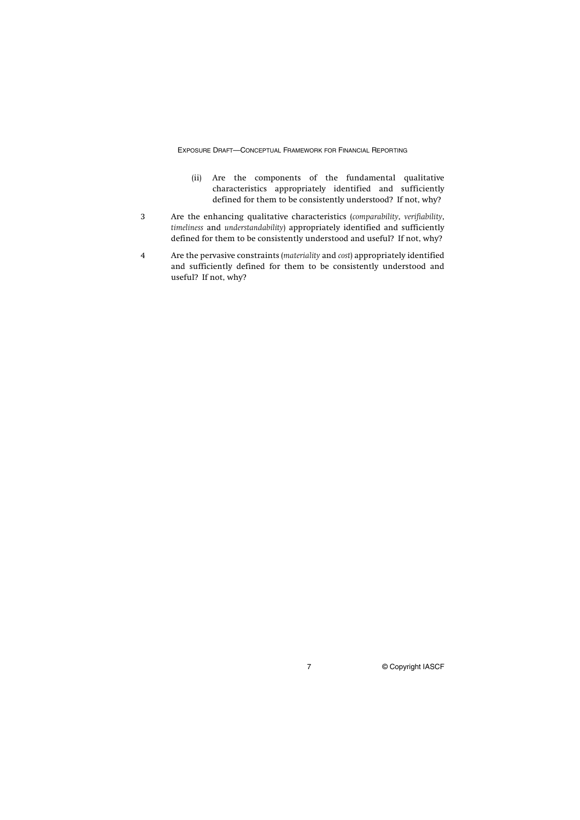- (ii) Are the components of the fundamental qualitative characteristics appropriately identified and sufficiently defined for them to be consistently understood? If not, why?
- 3 Are the enhancing qualitative characteristics (*comparability*, *verifiability*, *timeliness* and *understandability*) appropriately identified and sufficiently defined for them to be consistently understood and useful? If not, why?
- 4 Are the pervasive constraints (*materiality* and *cost*) appropriately identified and sufficiently defined for them to be consistently understood and useful? If not, why?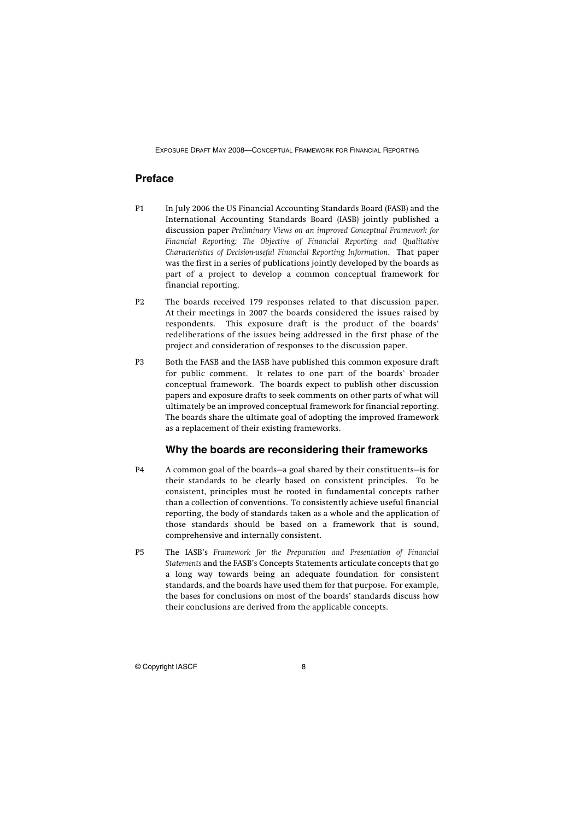# **Preface**

- P1 In July 2006 the US Financial Accounting Standards Board (FASB) and the International Accounting Standards Board (IASB) jointly published a discussion paper *Preliminary Views on an improved Conceptual Framework for Financial Reporting: The Objective of Financial Reporting and Qualitative Characteristics of Decision-useful Financial Reporting Information*. That paper was the first in a series of publications jointly developed by the boards as part of a project to develop a common conceptual framework for financial reporting.
- P2 The boards received 179 responses related to that discussion paper. At their meetings in 2007 the boards considered the issues raised by respondents. This exposure draft is the product of the boards' redeliberations of the issues being addressed in the first phase of the project and consideration of responses to the discussion paper.
- P3 Both the FASB and the IASB have published this common exposure draft for public comment. It relates to one part of the boards' broader conceptual framework. The boards expect to publish other discussion papers and exposure drafts to seek comments on other parts of what will ultimately be an improved conceptual framework for financial reporting. The boards share the ultimate goal of adopting the improved framework as a replacement of their existing frameworks.

# **Why the boards are reconsidering their frameworks**

- P4 A common goal of the boards—a goal shared by their constituents—is for their standards to be clearly based on consistent principles. To be consistent, principles must be rooted in fundamental concepts rather than a collection of conventions. To consistently achieve useful financial reporting, the body of standards taken as a whole and the application of those standards should be based on a framework that is sound, comprehensive and internally consistent.
- P5 The IASB's *Framework for the Preparation and Presentation of Financial Statements* and the FASB's Concepts Statements articulate concepts that go a long way towards being an adequate foundation for consistent standards, and the boards have used them for that purpose. For example, the bases for conclusions on most of the boards' standards discuss how their conclusions are derived from the applicable concepts.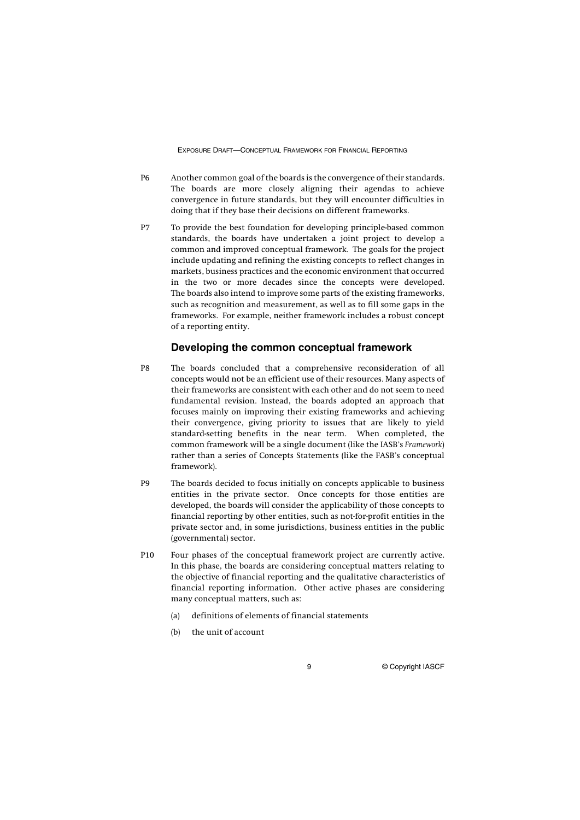- P6 Another common goal of the boards is the convergence of their standards. The boards are more closely aligning their agendas to achieve convergence in future standards, but they will encounter difficulties in doing that if they base their decisions on different frameworks.
- P7 To provide the best foundation for developing principle-based common standards, the boards have undertaken a joint project to develop a common and improved conceptual framework. The goals for the project include updating and refining the existing concepts to reflect changes in markets, business practices and the economic environment that occurred in the two or more decades since the concepts were developed. The boards also intend to improve some parts of the existing frameworks, such as recognition and measurement, as well as to fill some gaps in the frameworks. For example, neither framework includes a robust concept of a reporting entity.

# **Developing the common conceptual framework**

- P8 The boards concluded that a comprehensive reconsideration of all concepts would not be an efficient use of their resources. Many aspects of their frameworks are consistent with each other and do not seem to need fundamental revision. Instead, the boards adopted an approach that focuses mainly on improving their existing frameworks and achieving their convergence, giving priority to issues that are likely to yield standard-setting benefits in the near term. When completed, the common framework will be a single document (like the IASB's *Framework*) rather than a series of Concepts Statements (like the FASB's conceptual framework).
- P9 The boards decided to focus initially on concepts applicable to business entities in the private sector. Once concepts for those entities are developed, the boards will consider the applicability of those concepts to financial reporting by other entities, such as not-for-profit entities in the private sector and, in some jurisdictions, business entities in the public (governmental) sector.
- P10 Four phases of the conceptual framework project are currently active. In this phase, the boards are considering conceptual matters relating to the objective of financial reporting and the qualitative characteristics of financial reporting information. Other active phases are considering many conceptual matters, such as:
	- (a) definitions of elements of financial statements
	- (b) the unit of account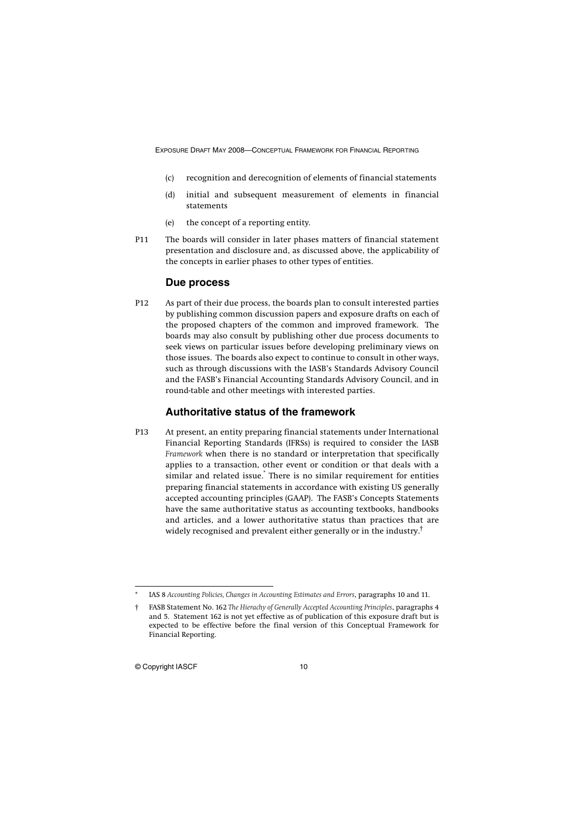- (c) recognition and derecognition of elements of financial statements
- (d) initial and subsequent measurement of elements in financial statements
- (e) the concept of a reporting entity.
- P11 The boards will consider in later phases matters of financial statement presentation and disclosure and, as discussed above, the applicability of the concepts in earlier phases to other types of entities.

#### **Due process**

P12 As part of their due process, the boards plan to consult interested parties by publishing common discussion papers and exposure drafts on each of the proposed chapters of the common and improved framework. The boards may also consult by publishing other due process documents to seek views on particular issues before developing preliminary views on those issues. The boards also expect to continue to consult in other ways, such as through discussions with the IASB's Standards Advisory Council and the FASB's Financial Accounting Standards Advisory Council, and in round-table and other meetings with interested parties.

#### **Authoritative status of the framework**

P13 At present, an entity preparing financial statements under International Financial Reporting Standards (IFRSs) is required to consider the IASB *Framework* when there is no standard or interpretation that specifically applies to a transaction, other event or condition or that deals with a similar and related issue.\* There is no similar requirement for entities preparing financial statements in accordance with existing US generally accepted accounting principles (GAAP). The FASB's Concepts Statements have the same authoritative status as accounting textbooks, handbooks and articles, and a lower authoritative status than practices that are widely recognised and prevalent either generally or in the industry.<sup>†</sup>

<sup>\*</sup> IAS 8 *Accounting Policies, Changes in Accounting Estimates and Errors*, paragraphs 10 and 11.

<sup>†</sup> FASB Statement No. 162 *The Hierachy of Generally Accepted Accounting Principles*, paragraphs 4 and 5. Statement 162 is not yet effective as of publication of this exposure draft but is expected to be effective before the final version of this Conceptual Framework for Financial Reporting.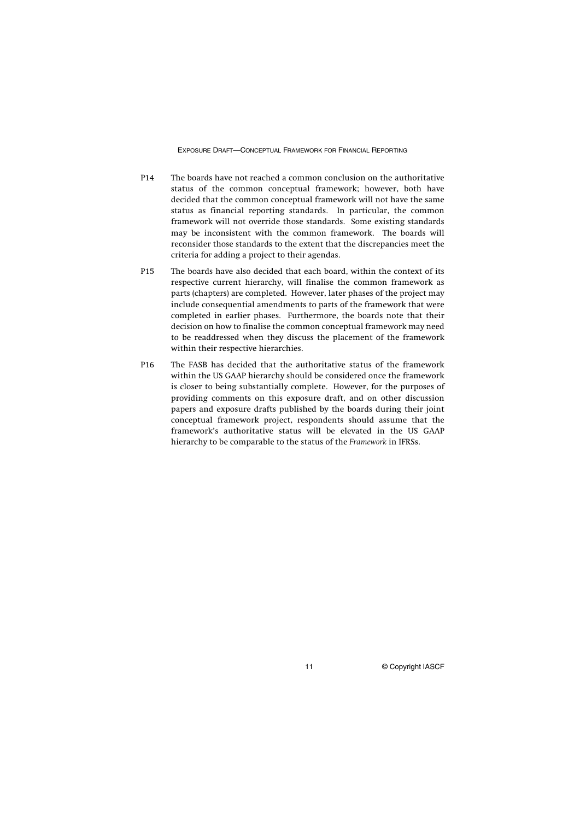- P14 The boards have not reached a common conclusion on the authoritative status of the common conceptual framework; however, both have decided that the common conceptual framework will not have the same status as financial reporting standards. In particular, the common framework will not override those standards. Some existing standards may be inconsistent with the common framework. The boards will reconsider those standards to the extent that the discrepancies meet the criteria for adding a project to their agendas.
- P15 The boards have also decided that each board, within the context of its respective current hierarchy, will finalise the common framework as parts (chapters) are completed. However, later phases of the project may include consequential amendments to parts of the framework that were completed in earlier phases. Furthermore, the boards note that their decision on how to finalise the common conceptual framework may need to be readdressed when they discuss the placement of the framework within their respective hierarchies.
- P16 The FASB has decided that the authoritative status of the framework within the US GAAP hierarchy should be considered once the framework is closer to being substantially complete. However, for the purposes of providing comments on this exposure draft, and on other discussion papers and exposure drafts published by the boards during their joint conceptual framework project, respondents should assume that the framework's authoritative status will be elevated in the US GAAP hierarchy to be comparable to the status of the *Framework* in IFRSs.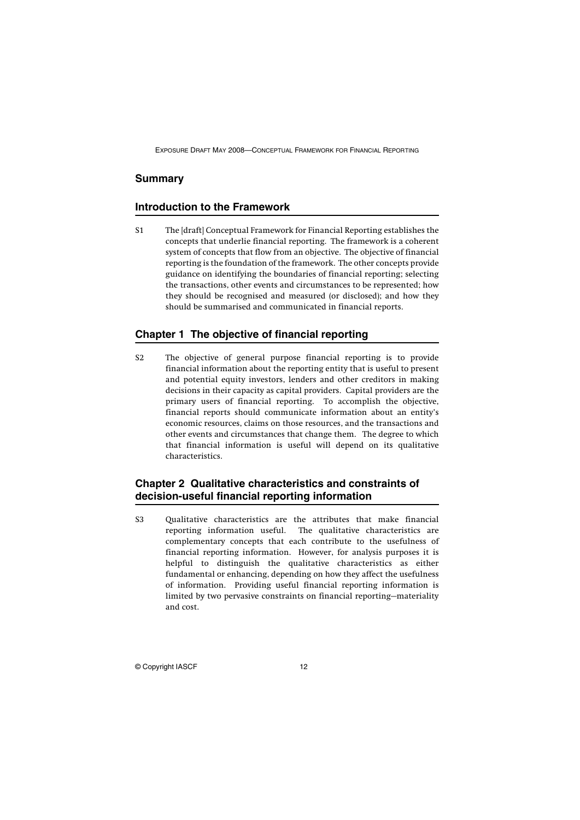# **Summary**

# **Introduction to the Framework**

S1 The [draft] Conceptual Framework for Financial Reporting establishes the concepts that underlie financial reporting. The framework is a coherent system of concepts that flow from an objective. The objective of financial reporting is the foundation of the framework. The other concepts provide guidance on identifying the boundaries of financial reporting; selecting the transactions, other events and circumstances to be represented; how they should be recognised and measured (or disclosed); and how they should be summarised and communicated in financial reports.

# **Chapter 1 The objective of financial reporting**

S2 The objective of general purpose financial reporting is to provide financial information about the reporting entity that is useful to present and potential equity investors, lenders and other creditors in making decisions in their capacity as capital providers. Capital providers are the primary users of financial reporting. To accomplish the objective, financial reports should communicate information about an entity's economic resources, claims on those resources, and the transactions and other events and circumstances that change them. The degree to which that financial information is useful will depend on its qualitative characteristics.

# **Chapter 2 Qualitative characteristics and constraints of decision-useful financial reporting information**

S3 Qualitative characteristics are the attributes that make financial reporting information useful. The qualitative characteristics are complementary concepts that each contribute to the usefulness of financial reporting information. However, for analysis purposes it is helpful to distinguish the qualitative characteristics as either fundamental or enhancing, depending on how they affect the usefulness of information. Providing useful financial reporting information is limited by two pervasive constraints on financial reporting—materiality and cost.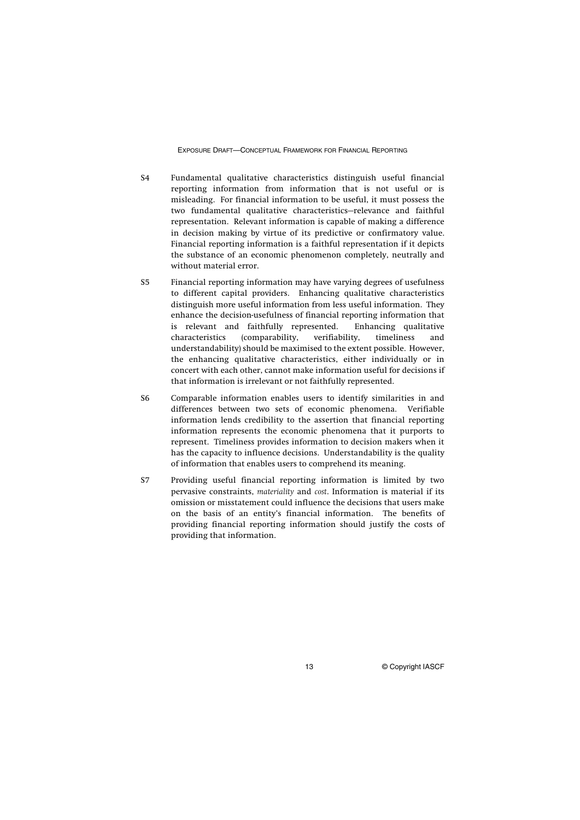- S4 Fundamental qualitative characteristics distinguish useful financial reporting information from information that is not useful or is misleading. For financial information to be useful, it must possess the two fundamental qualitative characteristics—relevance and faithful representation. Relevant information is capable of making a difference in decision making by virtue of its predictive or confirmatory value. Financial reporting information is a faithful representation if it depicts the substance of an economic phenomenon completely, neutrally and without material error.
- S5 Financial reporting information may have varying degrees of usefulness to different capital providers. Enhancing qualitative characteristics distinguish more useful information from less useful information. They enhance the decision-usefulness of financial reporting information that is relevant and faithfully represented. Enhancing qualitative characteristics (comparability, verifiability, timeliness and understandability) should be maximised to the extent possible. However, the enhancing qualitative characteristics, either individually or in concert with each other, cannot make information useful for decisions if that information is irrelevant or not faithfully represented.
- S6 Comparable information enables users to identify similarities in and differences between two sets of economic phenomena. Verifiable information lends credibility to the assertion that financial reporting information represents the economic phenomena that it purports to represent. Timeliness provides information to decision makers when it has the capacity to influence decisions. Understandability is the quality of information that enables users to comprehend its meaning.
- S7 Providing useful financial reporting information is limited by two pervasive constraints, *materiality* and *cost*. Information is material if its omission or misstatement could influence the decisions that users make on the basis of an entity's financial information. The benefits of providing financial reporting information should justify the costs of providing that information.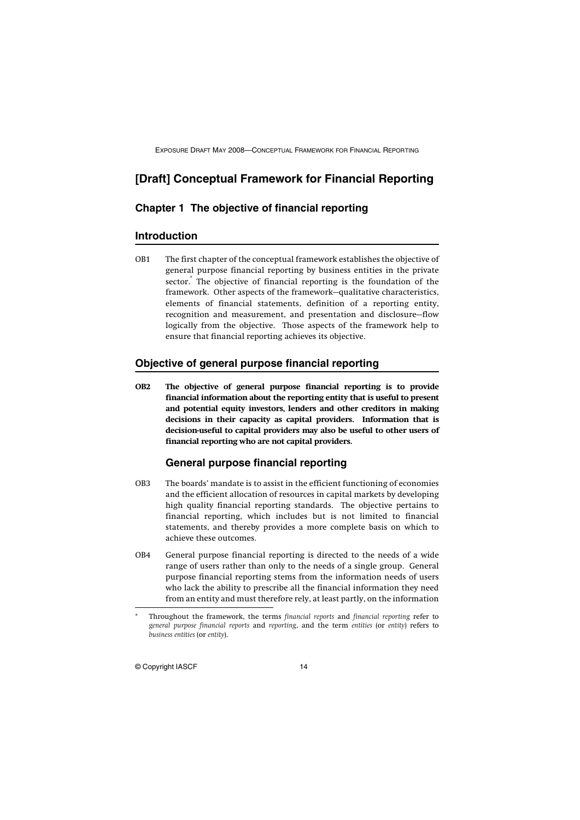# **[Draft] Conceptual Framework for Financial Reporting**

# **Chapter 1 The objective of financial reporting**

#### **Introduction**

OB1 The first chapter of the conceptual framework establishes the objective of general purpose financial reporting by business entities in the private sector.\* The objective of financial reporting is the foundation of the framework. Other aspects of the framework—qualitative characteristics, elements of financial statements, definition of a reporting entity, recognition and measurement, and presentation and disclosure—flow logically from the objective. Those aspects of the framework help to ensure that financial reporting achieves its objective.

# **Objective of general purpose financial reporting**

**OB2 The objective of general purpose financial reporting is to provide financial information about the reporting entity that is useful to present and potential equity investors, lenders and other creditors in making decisions in their capacity as capital providers. Information that is decision-useful to capital providers may also be useful to other users of financial reporting who are not capital providers.**

# **General purpose financial reporting**

- OB3 The boards' mandate is to assist in the efficient functioning of economies and the efficient allocation of resources in capital markets by developing high quality financial reporting standards. The objective pertains to financial reporting, which includes but is not limited to financial statements, and thereby provides a more complete basis on which to achieve these outcomes.
- OB4 General purpose financial reporting is directed to the needs of a wide range of users rather than only to the needs of a single group. General purpose financial reporting stems from the information needs of users who lack the ability to prescribe all the financial information they need from an entity and must therefore rely, at least partly, on the information

<sup>\*</sup> Throughout the framework, the terms *financial reports* and *financial reporting* refer to *general purpose financial reports* and *reporting*, and the term *entities* (or *entity*) refers to *business entities* (or *entity*).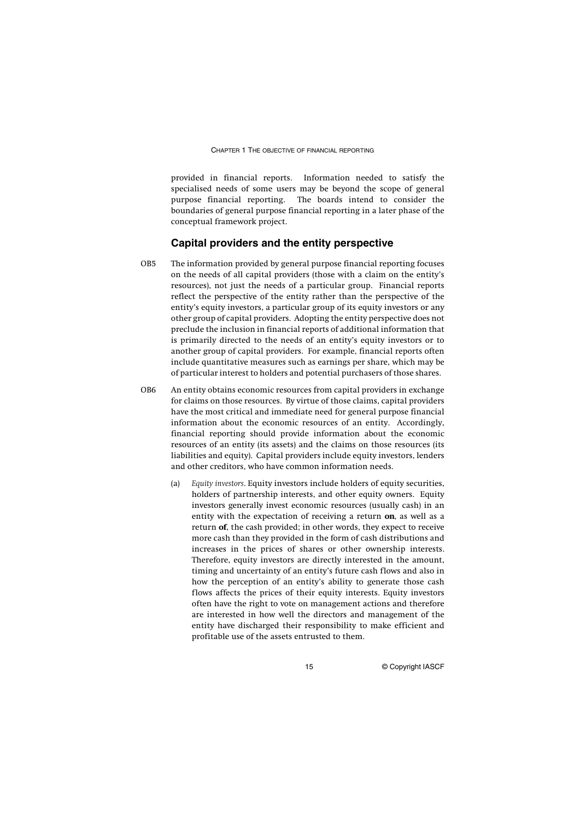CHAPTER 1 THE OBJECTIVE OF FINANCIAL REPORTING

provided in financial reports. Information needed to satisfy the specialised needs of some users may be beyond the scope of general purpose financial reporting. The boards intend to consider the boundaries of general purpose financial reporting in a later phase of the conceptual framework project.

#### **Capital providers and the entity perspective**

- OB5 The information provided by general purpose financial reporting focuses on the needs of all capital providers (those with a claim on the entity's resources), not just the needs of a particular group. Financial reports reflect the perspective of the entity rather than the perspective of the entity's equity investors, a particular group of its equity investors or any other group of capital providers. Adopting the entity perspective does not preclude the inclusion in financial reports of additional information that is primarily directed to the needs of an entity's equity investors or to another group of capital providers. For example, financial reports often include quantitative measures such as earnings per share, which may be of particular interest to holders and potential purchasers of those shares.
- OB6 An entity obtains economic resources from capital providers in exchange for claims on those resources. By virtue of those claims, capital providers have the most critical and immediate need for general purpose financial information about the economic resources of an entity. Accordingly, financial reporting should provide information about the economic resources of an entity (its assets) and the claims on those resources (its liabilities and equity). Capital providers include equity investors, lenders and other creditors, who have common information needs.
	- (a) *Equity investors*. Equity investors include holders of equity securities, holders of partnership interests, and other equity owners. Equity investors generally invest economic resources (usually cash) in an entity with the expectation of receiving a return **on**, as well as a return **of**, the cash provided; in other words, they expect to receive more cash than they provided in the form of cash distributions and increases in the prices of shares or other ownership interests. Therefore, equity investors are directly interested in the amount, timing and uncertainty of an entity's future cash flows and also in how the perception of an entity's ability to generate those cash flows affects the prices of their equity interests. Equity investors often have the right to vote on management actions and therefore are interested in how well the directors and management of the entity have discharged their responsibility to make efficient and profitable use of the assets entrusted to them.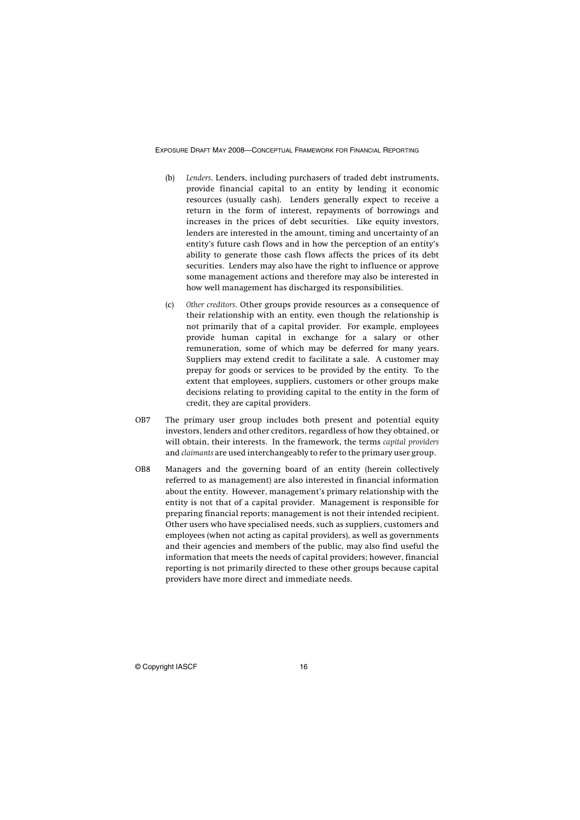- (b) *Lenders*. Lenders, including purchasers of traded debt instruments, provide financial capital to an entity by lending it economic resources (usually cash). Lenders generally expect to receive a return in the form of interest, repayments of borrowings and increases in the prices of debt securities. Like equity investors, lenders are interested in the amount, timing and uncertainty of an entity's future cash flows and in how the perception of an entity's ability to generate those cash flows affects the prices of its debt securities. Lenders may also have the right to influence or approve some management actions and therefore may also be interested in how well management has discharged its responsibilities.
- (c) *Other creditors*. Other groups provide resources as a consequence of their relationship with an entity, even though the relationship is not primarily that of a capital provider. For example, employees provide human capital in exchange for a salary or other remuneration, some of which may be deferred for many years. Suppliers may extend credit to facilitate a sale. A customer may prepay for goods or services to be provided by the entity. To the extent that employees, suppliers, customers or other groups make decisions relating to providing capital to the entity in the form of credit, they are capital providers.
- OB7 The primary user group includes both present and potential equity investors, lenders and other creditors, regardless of how they obtained, or will obtain, their interests. In the framework, the terms *capital providers* and *claimants* are used interchangeably to refer to the primary user group.
- OB8 Managers and the governing board of an entity (herein collectively referred to as management) are also interested in financial information about the entity. However, management's primary relationship with the entity is not that of a capital provider. Management is responsible for preparing financial reports; management is not their intended recipient. Other users who have specialised needs, such as suppliers, customers and employees (when not acting as capital providers), as well as governments and their agencies and members of the public, may also find useful the information that meets the needs of capital providers; however, financial reporting is not primarily directed to these other groups because capital providers have more direct and immediate needs.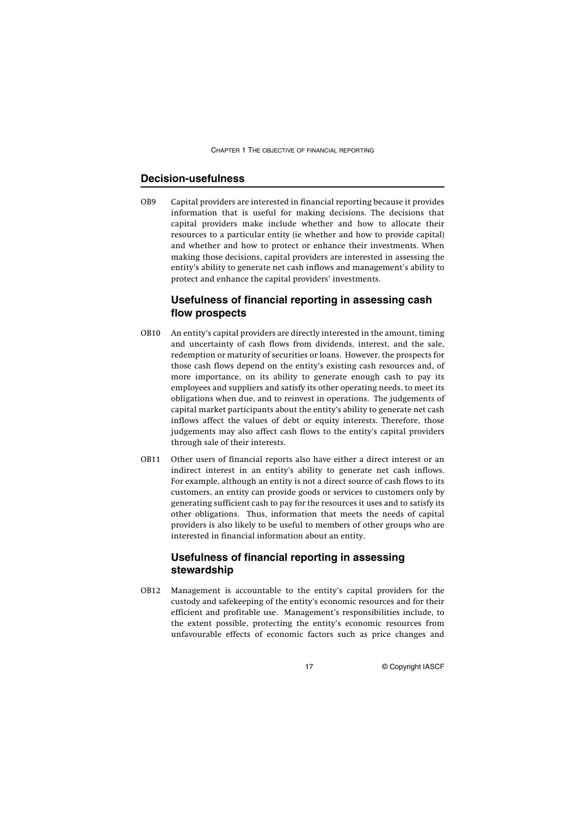CHAPTER 1 THE OBJECTIVE OF FINANCIAL REPORTING

### **Decision-usefulness**

OB9 Capital providers are interested in financial reporting because it provides information that is useful for making decisions. The decisions that capital providers make include whether and how to allocate their resources to a particular entity (ie whether and how to provide capital) and whether and how to protect or enhance their investments. When making those decisions, capital providers are interested in assessing the entity's ability to generate net cash inflows and management's ability to protect and enhance the capital providers' investments.

# **Usefulness of financial reporting in assessing cash flow prospects**

- OB10 An entity's capital providers are directly interested in the amount, timing and uncertainty of cash flows from dividends, interest, and the sale, redemption or maturity of securities or loans. However, the prospects for those cash flows depend on the entity's existing cash resources and, of more importance, on its ability to generate enough cash to pay its employees and suppliers and satisfy its other operating needs, to meet its obligations when due, and to reinvest in operations. The judgements of capital market participants about the entity's ability to generate net cash inflows affect the values of debt or equity interests. Therefore, those judgements may also affect cash flows to the entity's capital providers through sale of their interests.
- OB11 Other users of financial reports also have either a direct interest or an indirect interest in an entity's ability to generate net cash inflows. For example, although an entity is not a direct source of cash flows to its customers, an entity can provide goods or services to customers only by generating sufficient cash to pay for the resources it uses and to satisfy its other obligations. Thus, information that meets the needs of capital providers is also likely to be useful to members of other groups who are interested in financial information about an entity.

# **Usefulness of financial reporting in assessing stewardship**

OB12 Management is accountable to the entity's capital providers for the custody and safekeeping of the entity's economic resources and for their efficient and profitable use. Management's responsibilities include, to the extent possible, protecting the entity's economic resources from unfavourable effects of economic factors such as price changes and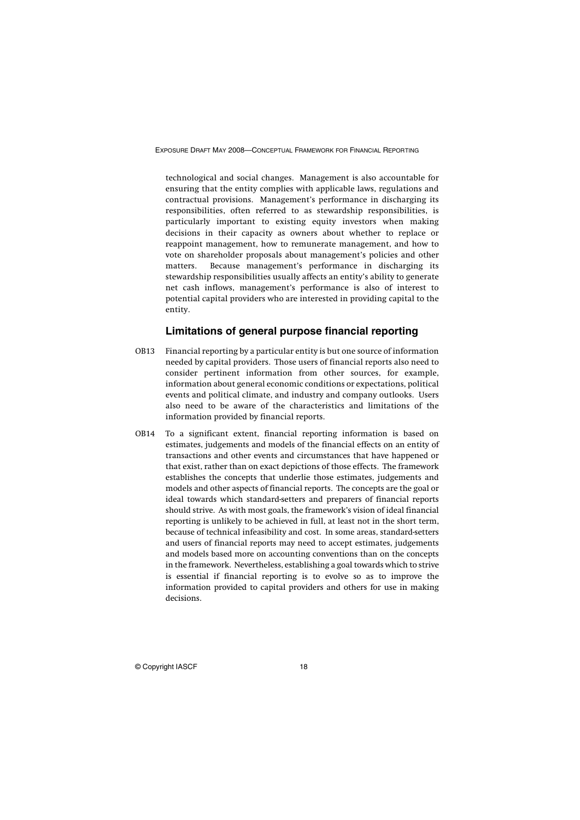technological and social changes. Management is also accountable for ensuring that the entity complies with applicable laws, regulations and contractual provisions. Management's performance in discharging its responsibilities, often referred to as stewardship responsibilities, is particularly important to existing equity investors when making decisions in their capacity as owners about whether to replace or reappoint management, how to remunerate management, and how to vote on shareholder proposals about management's policies and other matters. Because management's performance in discharging its stewardship responsibilities usually affects an entity's ability to generate net cash inflows, management's performance is also of interest to potential capital providers who are interested in providing capital to the entity.

#### **Limitations of general purpose financial reporting**

- OB13 Financial reporting by a particular entity is but one source of information needed by capital providers. Those users of financial reports also need to consider pertinent information from other sources, for example, information about general economic conditions or expectations, political events and political climate, and industry and company outlooks. Users also need to be aware of the characteristics and limitations of the information provided by financial reports.
- OB14 To a significant extent, financial reporting information is based on estimates, judgements and models of the financial effects on an entity of transactions and other events and circumstances that have happened or that exist, rather than on exact depictions of those effects. The framework establishes the concepts that underlie those estimates, judgements and models and other aspects of financial reports. The concepts are the goal or ideal towards which standard-setters and preparers of financial reports should strive. As with most goals, the framework's vision of ideal financial reporting is unlikely to be achieved in full, at least not in the short term, because of technical infeasibility and cost. In some areas, standard-setters and users of financial reports may need to accept estimates, judgements and models based more on accounting conventions than on the concepts in the framework. Nevertheless, establishing a goal towards which to strive is essential if financial reporting is to evolve so as to improve the information provided to capital providers and others for use in making decisions.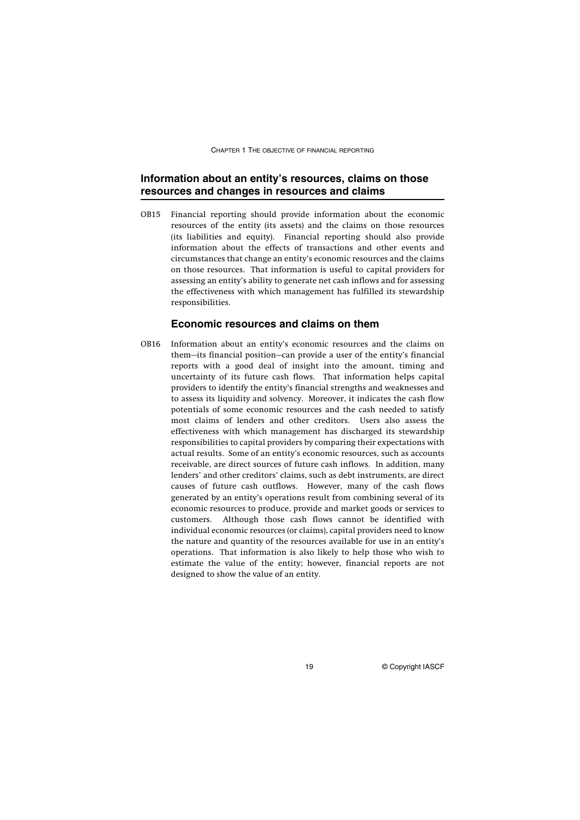# **Information about an entity's resources, claims on those resources and changes in resources and claims**

OB15 Financial reporting should provide information about the economic resources of the entity (its assets) and the claims on those resources (its liabilities and equity). Financial reporting should also provide information about the effects of transactions and other events and circumstances that change an entity's economic resources and the claims on those resources. That information is useful to capital providers for assessing an entity's ability to generate net cash inflows and for assessing the effectiveness with which management has fulfilled its stewardship responsibilities.

### **Economic resources and claims on them**

OB16 Information about an entity's economic resources and the claims on them—its financial position—can provide a user of the entity's financial reports with a good deal of insight into the amount, timing and uncertainty of its future cash flows. That information helps capital providers to identify the entity's financial strengths and weaknesses and to assess its liquidity and solvency. Moreover, it indicates the cash flow potentials of some economic resources and the cash needed to satisfy most claims of lenders and other creditors. Users also assess the effectiveness with which management has discharged its stewardship responsibilities to capital providers by comparing their expectations with actual results. Some of an entity's economic resources, such as accounts receivable, are direct sources of future cash inflows. In addition, many lenders' and other creditors' claims, such as debt instruments, are direct causes of future cash outflows. However, many of the cash flows generated by an entity's operations result from combining several of its economic resources to produce, provide and market goods or services to customers. Although those cash flows cannot be identified with individual economic resources (or claims), capital providers need to know the nature and quantity of the resources available for use in an entity's operations. That information is also likely to help those who wish to estimate the value of the entity; however, financial reports are not designed to show the value of an entity.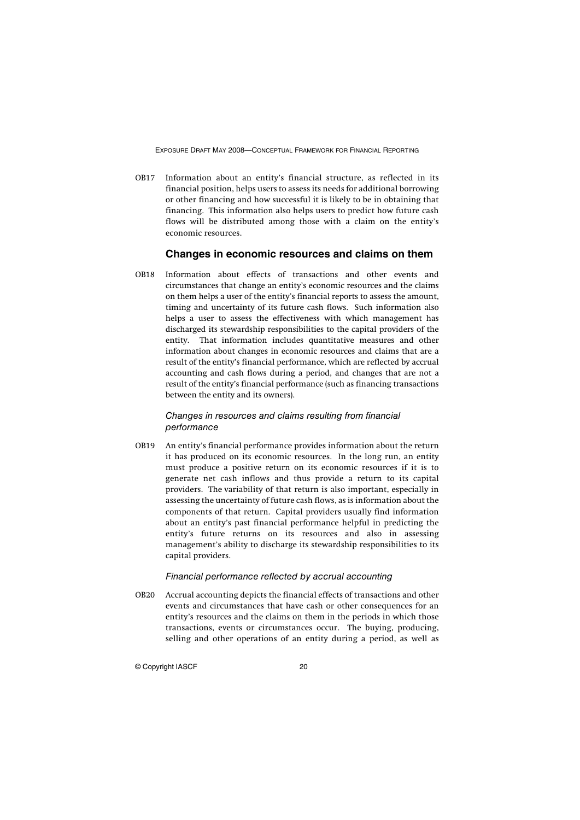OB17 Information about an entity's financial structure, as reflected in its financial position, helps users to assess its needs for additional borrowing or other financing and how successful it is likely to be in obtaining that financing. This information also helps users to predict how future cash flows will be distributed among those with a claim on the entity's economic resources.

#### **Changes in economic resources and claims on them**

OB18 Information about effects of transactions and other events and circumstances that change an entity's economic resources and the claims on them helps a user of the entity's financial reports to assess the amount, timing and uncertainty of its future cash flows. Such information also helps a user to assess the effectiveness with which management has discharged its stewardship responsibilities to the capital providers of the entity. That information includes quantitative measures and other information about changes in economic resources and claims that are a result of the entity's financial performance, which are reflected by accrual accounting and cash flows during a period, and changes that are not a result of the entity's financial performance (such as financing transactions between the entity and its owners).

#### Changes in resources and claims resulting from financial performance

OB19 An entity's financial performance provides information about the return it has produced on its economic resources. In the long run, an entity must produce a positive return on its economic resources if it is to generate net cash inflows and thus provide a return to its capital providers. The variability of that return is also important, especially in assessing the uncertainty of future cash flows, as is information about the components of that return. Capital providers usually find information about an entity's past financial performance helpful in predicting the entity's future returns on its resources and also in assessing management's ability to discharge its stewardship responsibilities to its capital providers.

#### Financial performance reflected by accrual accounting

OB20 Accrual accounting depicts the financial effects of transactions and other events and circumstances that have cash or other consequences for an entity's resources and the claims on them in the periods in which those transactions, events or circumstances occur. The buying, producing, selling and other operations of an entity during a period, as well as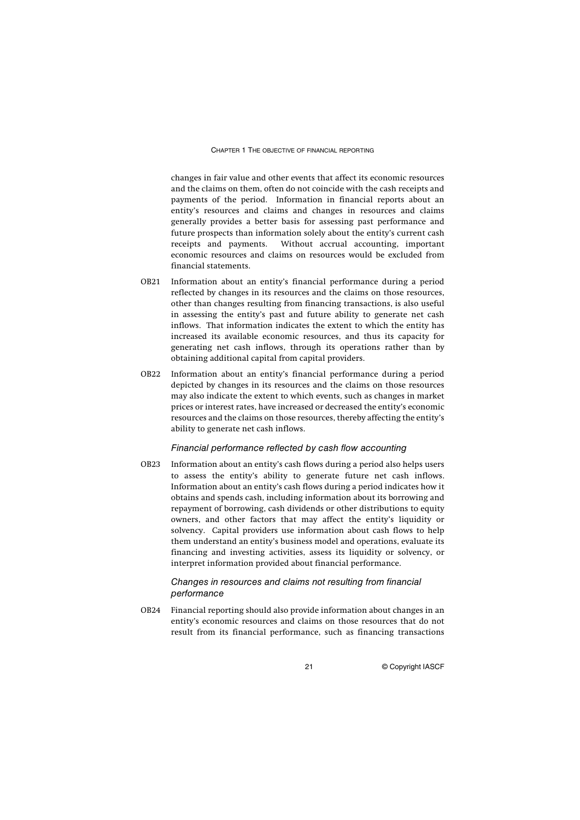CHAPTER 1 THE OBJECTIVE OF FINANCIAL REPORTING

changes in fair value and other events that affect its economic resources and the claims on them, often do not coincide with the cash receipts and payments of the period. Information in financial reports about an entity's resources and claims and changes in resources and claims generally provides a better basis for assessing past performance and future prospects than information solely about the entity's current cash receipts and payments. Without accrual accounting, important economic resources and claims on resources would be excluded from financial statements.

- OB21 Information about an entity's financial performance during a period reflected by changes in its resources and the claims on those resources, other than changes resulting from financing transactions, is also useful in assessing the entity's past and future ability to generate net cash inflows. That information indicates the extent to which the entity has increased its available economic resources, and thus its capacity for generating net cash inflows, through its operations rather than by obtaining additional capital from capital providers.
- OB22 Information about an entity's financial performance during a period depicted by changes in its resources and the claims on those resources may also indicate the extent to which events, such as changes in market prices or interest rates, have increased or decreased the entity's economic resources and the claims on those resources, thereby affecting the entity's ability to generate net cash inflows.

#### Financial performance reflected by cash flow accounting

OB23 Information about an entity's cash flows during a period also helps users to assess the entity's ability to generate future net cash inflows. Information about an entity's cash flows during a period indicates how it obtains and spends cash, including information about its borrowing and repayment of borrowing, cash dividends or other distributions to equity owners, and other factors that may affect the entity's liquidity or solvency. Capital providers use information about cash flows to help them understand an entity's business model and operations, evaluate its financing and investing activities, assess its liquidity or solvency, or interpret information provided about financial performance.

#### Changes in resources and claims not resulting from financial performance

OB24 Financial reporting should also provide information about changes in an entity's economic resources and claims on those resources that do not result from its financial performance, such as financing transactions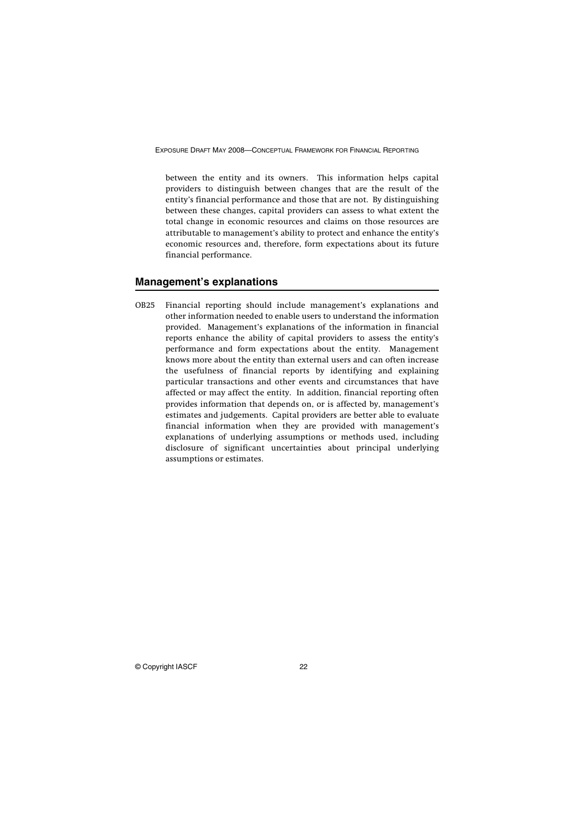between the entity and its owners. This information helps capital providers to distinguish between changes that are the result of the entity's financial performance and those that are not. By distinguishing between these changes, capital providers can assess to what extent the total change in economic resources and claims on those resources are attributable to management's ability to protect and enhance the entity's economic resources and, therefore, form expectations about its future financial performance.

# **Management's explanations**

OB25 Financial reporting should include management's explanations and other information needed to enable users to understand the information provided. Management's explanations of the information in financial reports enhance the ability of capital providers to assess the entity's performance and form expectations about the entity. Management knows more about the entity than external users and can often increase the usefulness of financial reports by identifying and explaining particular transactions and other events and circumstances that have affected or may affect the entity. In addition, financial reporting often provides information that depends on, or is affected by, management's estimates and judgements. Capital providers are better able to evaluate financial information when they are provided with management's explanations of underlying assumptions or methods used, including disclosure of significant uncertainties about principal underlying assumptions or estimates.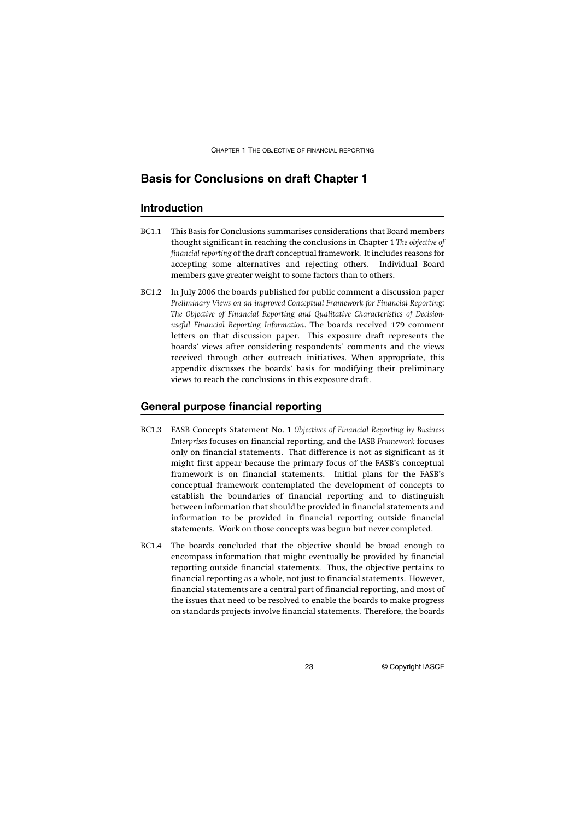# **Basis for Conclusions on draft Chapter 1**

# **Introduction**

- BC1.1 This Basis for Conclusions summarises considerations that Board members thought significant in reaching the conclusions in Chapter 1 *The objective of financial reporting* of the draft conceptual framework. It includes reasons for accepting some alternatives and rejecting others. Individual Board members gave greater weight to some factors than to others.
- BC1.2 In July 2006 the boards published for public comment a discussion paper *Preliminary Views on an improved Conceptual Framework for Financial Reporting: The Objective of Financial Reporting and Qualitative Characteristics of Decisionuseful Financial Reporting Information*. The boards received 179 comment letters on that discussion paper. This exposure draft represents the boards' views after considering respondents' comments and the views received through other outreach initiatives. When appropriate, this appendix discusses the boards' basis for modifying their preliminary views to reach the conclusions in this exposure draft.

#### **General purpose financial reporting**

- BC1.3 FASB Concepts Statement No. 1 *Objectives of Financial Reporting by Business Enterprises* focuses on financial reporting, and the IASB *Framework* focuses only on financial statements. That difference is not as significant as it might first appear because the primary focus of the FASB's conceptual framework is on financial statements. Initial plans for the FASB's conceptual framework contemplated the development of concepts to establish the boundaries of financial reporting and to distinguish between information that should be provided in financial statements and information to be provided in financial reporting outside financial statements. Work on those concepts was begun but never completed.
- BC1.4 The boards concluded that the objective should be broad enough to encompass information that might eventually be provided by financial reporting outside financial statements. Thus, the objective pertains to financial reporting as a whole, not just to financial statements. However, financial statements are a central part of financial reporting, and most of the issues that need to be resolved to enable the boards to make progress on standards projects involve financial statements. Therefore, the boards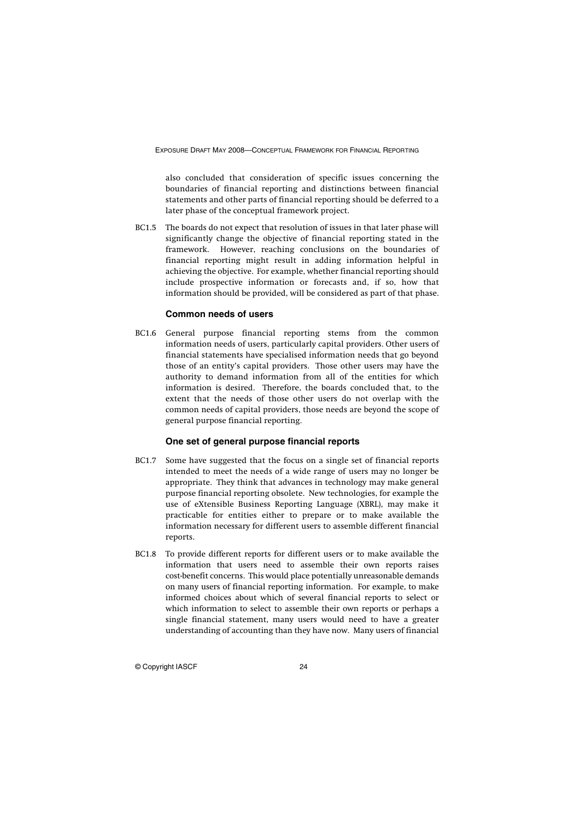also concluded that consideration of specific issues concerning the boundaries of financial reporting and distinctions between financial statements and other parts of financial reporting should be deferred to a later phase of the conceptual framework project.

BC1.5 The boards do not expect that resolution of issues in that later phase will significantly change the objective of financial reporting stated in the framework. However, reaching conclusions on the boundaries of financial reporting might result in adding information helpful in achieving the objective. For example, whether financial reporting should include prospective information or forecasts and, if so, how that information should be provided, will be considered as part of that phase.

#### **Common needs of users**

BC1.6 General purpose financial reporting stems from the common information needs of users, particularly capital providers. Other users of financial statements have specialised information needs that go beyond those of an entity's capital providers. Those other users may have the authority to demand information from all of the entities for which information is desired. Therefore, the boards concluded that, to the extent that the needs of those other users do not overlap with the common needs of capital providers, those needs are beyond the scope of general purpose financial reporting.

#### **One set of general purpose financial reports**

- BC1.7 Some have suggested that the focus on a single set of financial reports intended to meet the needs of a wide range of users may no longer be appropriate. They think that advances in technology may make general purpose financial reporting obsolete. New technologies, for example the use of eXtensible Business Reporting Language (XBRL), may make it practicable for entities either to prepare or to make available the information necessary for different users to assemble different financial reports.
- BC1.8 To provide different reports for different users or to make available the information that users need to assemble their own reports raises cost-benefit concerns. This would place potentially unreasonable demands on many users of financial reporting information. For example, to make informed choices about which of several financial reports to select or which information to select to assemble their own reports or perhaps a single financial statement, many users would need to have a greater understanding of accounting than they have now. Many users of financial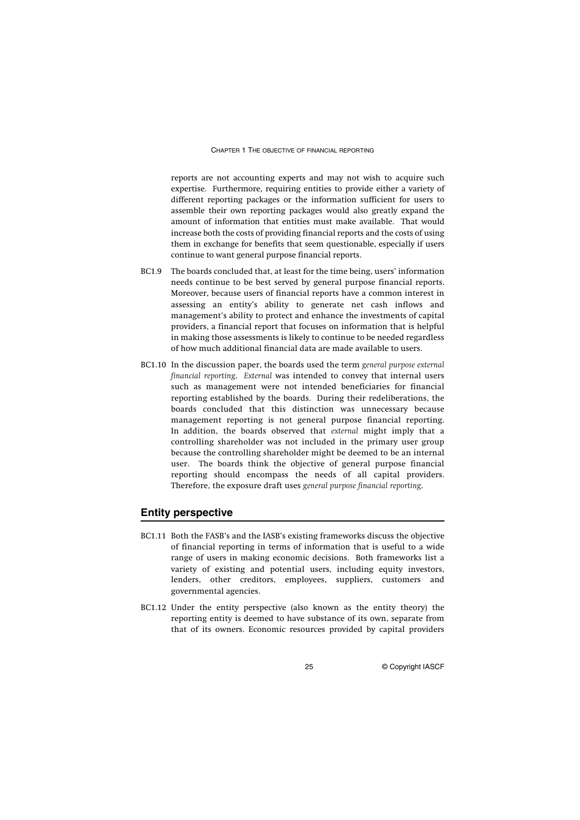CHAPTER 1 THE OBJECTIVE OF FINANCIAL REPORTING

reports are not accounting experts and may not wish to acquire such expertise. Furthermore, requiring entities to provide either a variety of different reporting packages or the information sufficient for users to assemble their own reporting packages would also greatly expand the amount of information that entities must make available. That would increase both the costs of providing financial reports and the costs of using them in exchange for benefits that seem questionable, especially if users continue to want general purpose financial reports.

- BC1.9 The boards concluded that, at least for the time being, users' information needs continue to be best served by general purpose financial reports. Moreover, because users of financial reports have a common interest in assessing an entity's ability to generate net cash inflows and management's ability to protect and enhance the investments of capital providers, a financial report that focuses on information that is helpful in making those assessments is likely to continue to be needed regardless of how much additional financial data are made available to users.
- BC1.10 In the discussion paper, the boards used the term *general purpose external financial reporting*. *External* was intended to convey that internal users such as management were not intended beneficiaries for financial reporting established by the boards. During their redeliberations, the boards concluded that this distinction was unnecessary because management reporting is not general purpose financial reporting. In addition, the boards observed that *external* might imply that a controlling shareholder was not included in the primary user group because the controlling shareholder might be deemed to be an internal user. The boards think the objective of general purpose financial reporting should encompass the needs of all capital providers. Therefore, the exposure draft uses *general purpose financial reporting*.

### **Entity perspective**

- BC1.11 Both the FASB's and the IASB's existing frameworks discuss the objective of financial reporting in terms of information that is useful to a wide range of users in making economic decisions. Both frameworks list a variety of existing and potential users, including equity investors, lenders, other creditors, employees, suppliers, customers and governmental agencies.
- BC1.12 Under the entity perspective (also known as the entity theory) the reporting entity is deemed to have substance of its own, separate from that of its owners. Economic resources provided by capital providers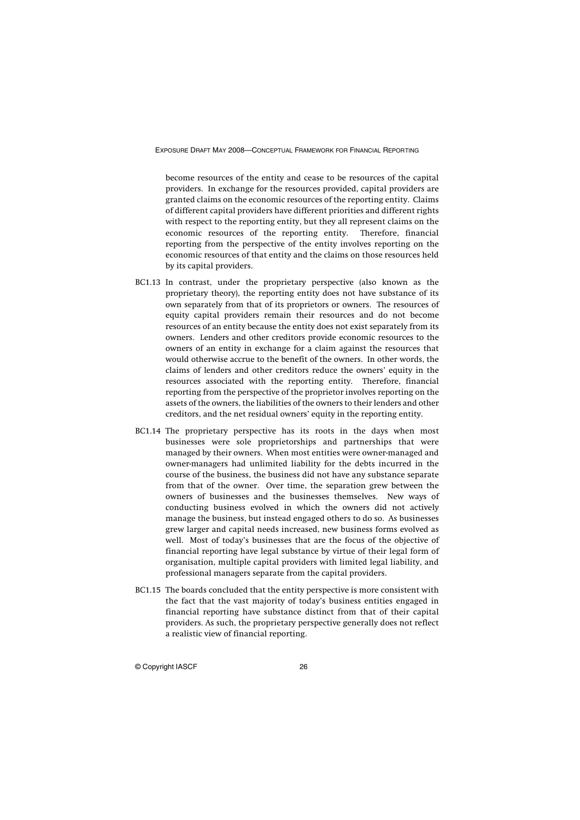become resources of the entity and cease to be resources of the capital providers. In exchange for the resources provided, capital providers are granted claims on the economic resources of the reporting entity. Claims of different capital providers have different priorities and different rights with respect to the reporting entity, but they all represent claims on the economic resources of the reporting entity. Therefore, financial reporting from the perspective of the entity involves reporting on the economic resources of that entity and the claims on those resources held by its capital providers.

- BC1.13 In contrast, under the proprietary perspective (also known as the proprietary theory), the reporting entity does not have substance of its own separately from that of its proprietors or owners. The resources of equity capital providers remain their resources and do not become resources of an entity because the entity does not exist separately from its owners. Lenders and other creditors provide economic resources to the owners of an entity in exchange for a claim against the resources that would otherwise accrue to the benefit of the owners. In other words, the claims of lenders and other creditors reduce the owners' equity in the resources associated with the reporting entity. Therefore, financial reporting from the perspective of the proprietor involves reporting on the assets of the owners, the liabilities of the owners to their lenders and other creditors, and the net residual owners' equity in the reporting entity.
- BC1.14 The proprietary perspective has its roots in the days when most businesses were sole proprietorships and partnerships that were managed by their owners. When most entities were owner-managed and owner-managers had unlimited liability for the debts incurred in the course of the business, the business did not have any substance separate from that of the owner. Over time, the separation grew between the owners of businesses and the businesses themselves. New ways of conducting business evolved in which the owners did not actively manage the business, but instead engaged others to do so. As businesses grew larger and capital needs increased, new business forms evolved as well. Most of today's businesses that are the focus of the objective of financial reporting have legal substance by virtue of their legal form of organisation, multiple capital providers with limited legal liability, and professional managers separate from the capital providers.
- BC1.15 The boards concluded that the entity perspective is more consistent with the fact that the vast majority of today's business entities engaged in financial reporting have substance distinct from that of their capital providers. As such, the proprietary perspective generally does not reflect a realistic view of financial reporting.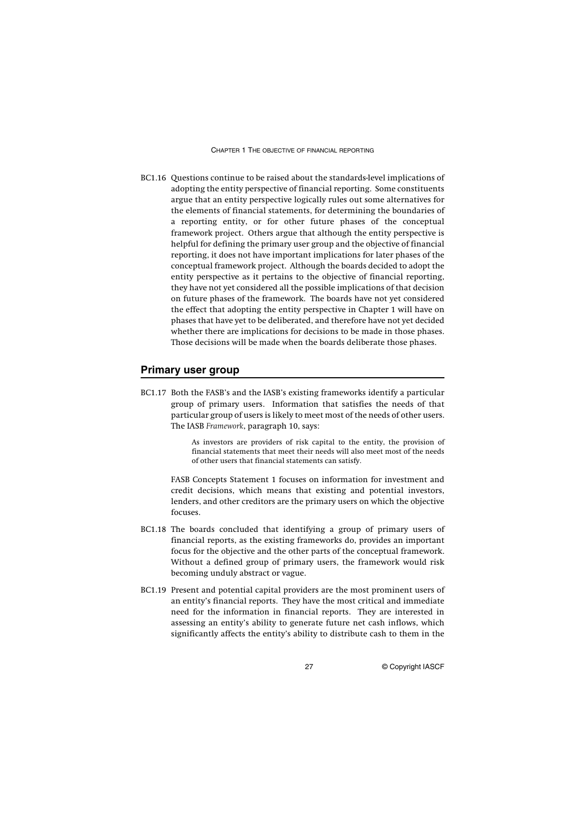CHAPTER 1 THE OBJECTIVE OF FINANCIAL REPORTING

BC1.16 Questions continue to be raised about the standards-level implications of adopting the entity perspective of financial reporting. Some constituents argue that an entity perspective logically rules out some alternatives for the elements of financial statements, for determining the boundaries of a reporting entity, or for other future phases of the conceptual framework project. Others argue that although the entity perspective is helpful for defining the primary user group and the objective of financial reporting, it does not have important implications for later phases of the conceptual framework project. Although the boards decided to adopt the entity perspective as it pertains to the objective of financial reporting, they have not yet considered all the possible implications of that decision on future phases of the framework. The boards have not yet considered the effect that adopting the entity perspective in Chapter 1 will have on phases that have yet to be deliberated, and therefore have not yet decided whether there are implications for decisions to be made in those phases. Those decisions will be made when the boards deliberate those phases.

# **Primary user group**

BC1.17 Both the FASB's and the IASB's existing frameworks identify a particular group of primary users. Information that satisfies the needs of that particular group of users is likely to meet most of the needs of other users. The IASB *Framework*, paragraph 10, says:

> As investors are providers of risk capital to the entity, the provision of financial statements that meet their needs will also meet most of the needs of other users that financial statements can satisfy.

FASB Concepts Statement 1 focuses on information for investment and credit decisions, which means that existing and potential investors, lenders, and other creditors are the primary users on which the objective focuses.

- BC1.18 The boards concluded that identifying a group of primary users of financial reports, as the existing frameworks do, provides an important focus for the objective and the other parts of the conceptual framework. Without a defined group of primary users, the framework would risk becoming unduly abstract or vague.
- BC1.19 Present and potential capital providers are the most prominent users of an entity's financial reports. They have the most critical and immediate need for the information in financial reports. They are interested in assessing an entity's ability to generate future net cash inflows, which significantly affects the entity's ability to distribute cash to them in the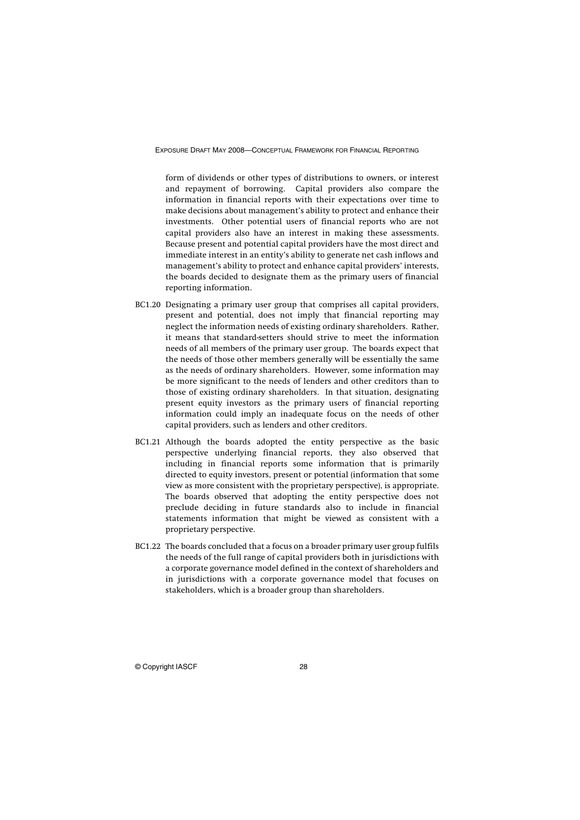form of dividends or other types of distributions to owners, or interest and repayment of borrowing. Capital providers also compare the information in financial reports with their expectations over time to make decisions about management's ability to protect and enhance their investments. Other potential users of financial reports who are not capital providers also have an interest in making these assessments. Because present and potential capital providers have the most direct and immediate interest in an entity's ability to generate net cash inflows and management's ability to protect and enhance capital providers' interests, the boards decided to designate them as the primary users of financial reporting information.

- BC1.20 Designating a primary user group that comprises all capital providers, present and potential, does not imply that financial reporting may neglect the information needs of existing ordinary shareholders. Rather, it means that standard-setters should strive to meet the information needs of all members of the primary user group. The boards expect that the needs of those other members generally will be essentially the same as the needs of ordinary shareholders. However, some information may be more significant to the needs of lenders and other creditors than to those of existing ordinary shareholders. In that situation, designating present equity investors as the primary users of financial reporting information could imply an inadequate focus on the needs of other capital providers, such as lenders and other creditors.
- BC1.21 Although the boards adopted the entity perspective as the basic perspective underlying financial reports, they also observed that including in financial reports some information that is primarily directed to equity investors, present or potential (information that some view as more consistent with the proprietary perspective), is appropriate. The boards observed that adopting the entity perspective does not preclude deciding in future standards also to include in financial statements information that might be viewed as consistent with a proprietary perspective.
- BC1.22 The boards concluded that a focus on a broader primary user group fulfils the needs of the full range of capital providers both in jurisdictions with a corporate governance model defined in the context of shareholders and in jurisdictions with a corporate governance model that focuses on stakeholders, which is a broader group than shareholders.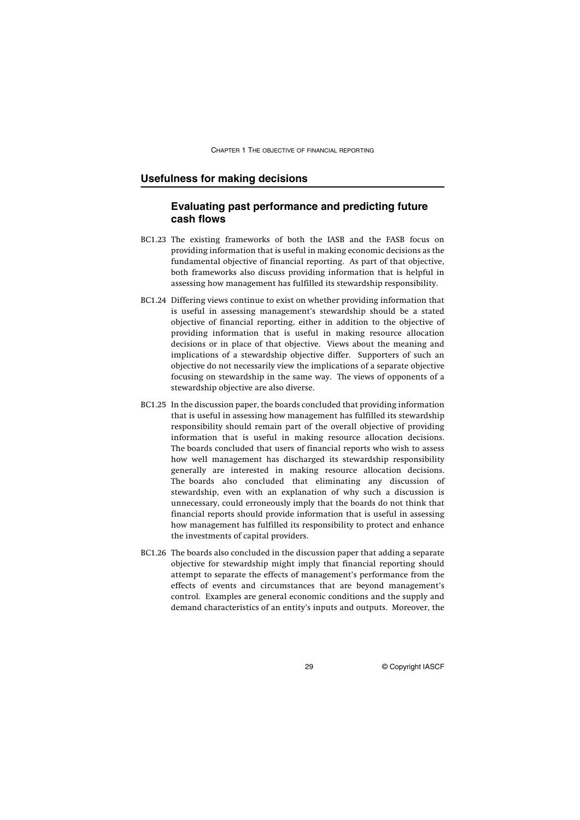CHAPTER 1 THE OBJECTIVE OF FINANCIAL REPORTING

# **Usefulness for making decisions**

# **Evaluating past performance and predicting future cash flows**

- BC1.23 The existing frameworks of both the IASB and the FASB focus on providing information that is useful in making economic decisions as the fundamental objective of financial reporting. As part of that objective, both frameworks also discuss providing information that is helpful in assessing how management has fulfilled its stewardship responsibility.
- BC1.24 Differing views continue to exist on whether providing information that is useful in assessing management's stewardship should be a stated objective of financial reporting, either in addition to the objective of providing information that is useful in making resource allocation decisions or in place of that objective. Views about the meaning and implications of a stewardship objective differ. Supporters of such an objective do not necessarily view the implications of a separate objective focusing on stewardship in the same way. The views of opponents of a stewardship objective are also diverse.
- BC1.25 In the discussion paper, the boards concluded that providing information that is useful in assessing how management has fulfilled its stewardship responsibility should remain part of the overall objective of providing information that is useful in making resource allocation decisions. The boards concluded that users of financial reports who wish to assess how well management has discharged its stewardship responsibility generally are interested in making resource allocation decisions. The boards also concluded that eliminating any discussion of stewardship, even with an explanation of why such a discussion is unnecessary, could erroneously imply that the boards do not think that financial reports should provide information that is useful in assessing how management has fulfilled its responsibility to protect and enhance the investments of capital providers.
- BC1.26 The boards also concluded in the discussion paper that adding a separate objective for stewardship might imply that financial reporting should attempt to separate the effects of management's performance from the effects of events and circumstances that are beyond management's control. Examples are general economic conditions and the supply and demand characteristics of an entity's inputs and outputs. Moreover, the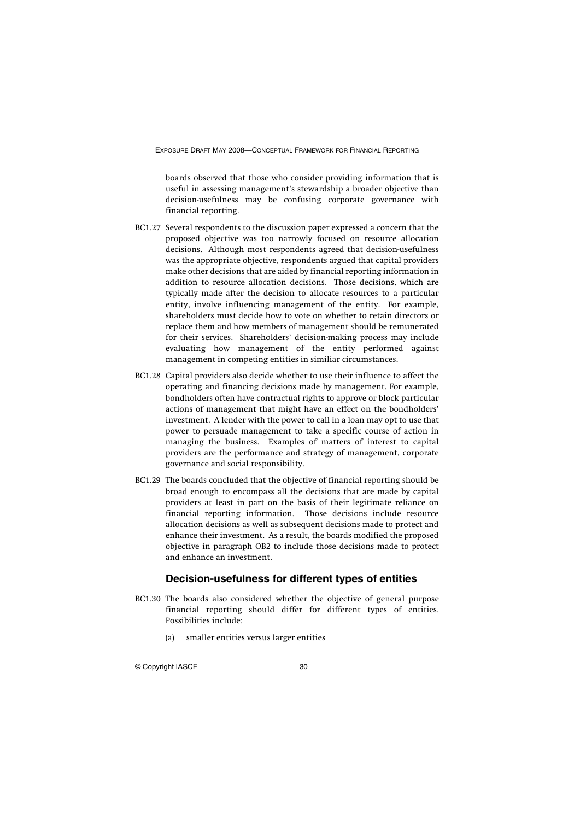boards observed that those who consider providing information that is useful in assessing management's stewardship a broader objective than decision-usefulness may be confusing corporate governance with financial reporting.

- BC1.27 Several respondents to the discussion paper expressed a concern that the proposed objective was too narrowly focused on resource allocation decisions. Although most respondents agreed that decision-usefulness was the appropriate objective, respondents argued that capital providers make other decisions that are aided by financial reporting information in addition to resource allocation decisions. Those decisions, which are typically made after the decision to allocate resources to a particular entity, involve influencing management of the entity. For example, shareholders must decide how to vote on whether to retain directors or replace them and how members of management should be remunerated for their services. Shareholders' decision-making process may include evaluating how management of the entity performed against management in competing entities in similiar circumstances.
- BC1.28 Capital providers also decide whether to use their influence to affect the operating and financing decisions made by management. For example, bondholders often have contractual rights to approve or block particular actions of management that might have an effect on the bondholders' investment. A lender with the power to call in a loan may opt to use that power to persuade management to take a specific course of action in managing the business. Examples of matters of interest to capital providers are the performance and strategy of management, corporate governance and social responsibility.
- BC1.29 The boards concluded that the objective of financial reporting should be broad enough to encompass all the decisions that are made by capital providers at least in part on the basis of their legitimate reliance on financial reporting information. Those decisions include resource allocation decisions as well as subsequent decisions made to protect and enhance their investment. As a result, the boards modified the proposed objective in paragraph OB2 to include those decisions made to protect and enhance an investment.

#### **Decision-usefulness for different types of entities**

- BC1.30 The boards also considered whether the objective of general purpose financial reporting should differ for different types of entities. Possibilities include:
	- (a) smaller entities versus larger entities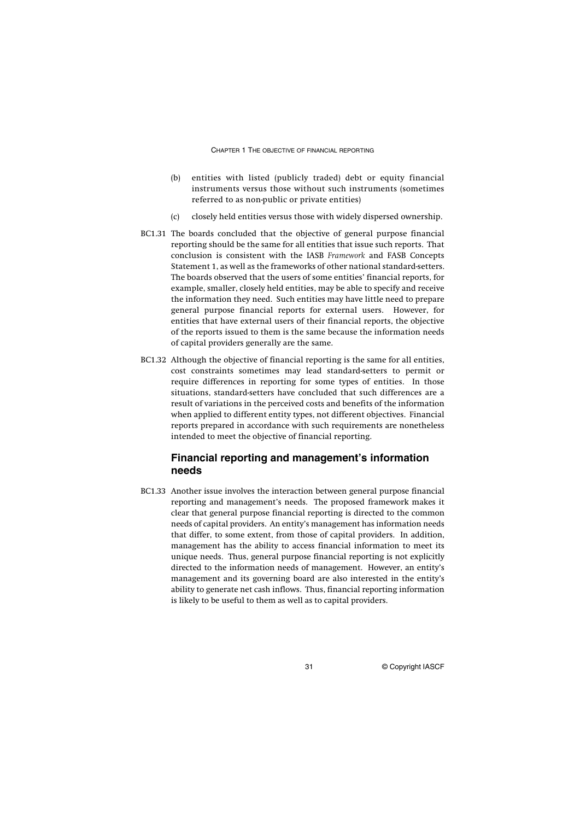CHAPTER 1 THE OBJECTIVE OF FINANCIAL REPORTING

- (b) entities with listed (publicly traded) debt or equity financial instruments versus those without such instruments (sometimes referred to as non-public or private entities)
- (c) closely held entities versus those with widely dispersed ownership.
- BC1.31 The boards concluded that the objective of general purpose financial reporting should be the same for all entities that issue such reports. That conclusion is consistent with the IASB *Framework* and FASB Concepts Statement 1, as well as the frameworks of other national standard-setters. The boards observed that the users of some entities' financial reports, for example, smaller, closely held entities, may be able to specify and receive the information they need. Such entities may have little need to prepare general purpose financial reports for external users. However, for entities that have external users of their financial reports, the objective of the reports issued to them is the same because the information needs of capital providers generally are the same.
- BC1.32 Although the objective of financial reporting is the same for all entities, cost constraints sometimes may lead standard-setters to permit or require differences in reporting for some types of entities. In those situations, standard-setters have concluded that such differences are a result of variations in the perceived costs and benefits of the information when applied to different entity types, not different objectives. Financial reports prepared in accordance with such requirements are nonetheless intended to meet the objective of financial reporting.

# **Financial reporting and management's information needs**

BC1.33 Another issue involves the interaction between general purpose financial reporting and management's needs. The proposed framework makes it clear that general purpose financial reporting is directed to the common needs of capital providers. An entity's management has information needs that differ, to some extent, from those of capital providers. In addition, management has the ability to access financial information to meet its unique needs. Thus, general purpose financial reporting is not explicitly directed to the information needs of management. However, an entity's management and its governing board are also interested in the entity's ability to generate net cash inflows. Thus, financial reporting information is likely to be useful to them as well as to capital providers.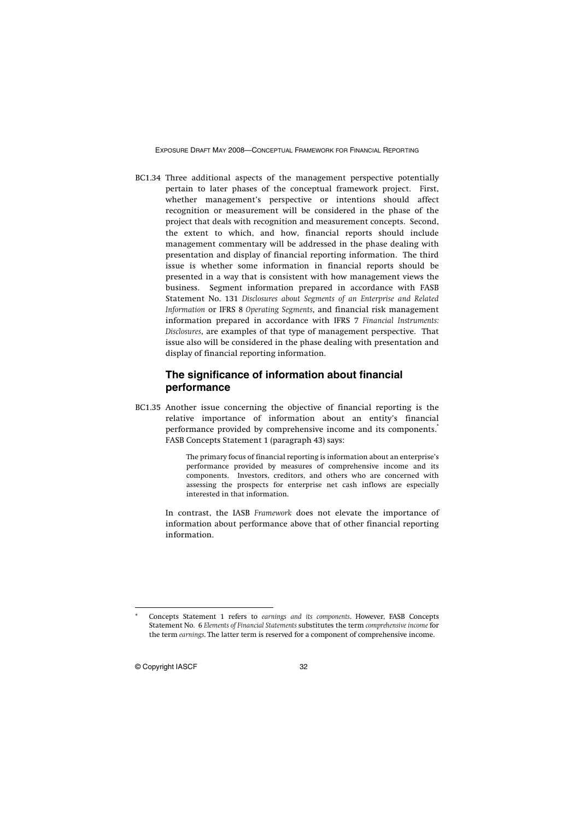BC1.34 Three additional aspects of the management perspective potentially pertain to later phases of the conceptual framework project. First, whether management's perspective or intentions should affect recognition or measurement will be considered in the phase of the project that deals with recognition and measurement concepts. Second, the extent to which, and how, financial reports should include management commentary will be addressed in the phase dealing with presentation and display of financial reporting information. The third issue is whether some information in financial reports should be presented in a way that is consistent with how management views the business. Segment information prepared in accordance with FASB Statement No. 131 *Disclosures about Segments of an Enterprise and Related Information* or IFRS 8 *Operating Segments*, and financial risk management information prepared in accordance with IFRS 7 *Financial Instruments: Disclosures*, are examples of that type of management perspective. That issue also will be considered in the phase dealing with presentation and display of financial reporting information.

# **The significance of information about financial performance**

BC1.35 Another issue concerning the objective of financial reporting is the relative importance of information about an entity's financial performance provided by comprehensive income and its components.<sup>\*</sup> FASB Concepts Statement 1 (paragraph 43) says:

> The primary focus of financial reporting is information about an enterprise's performance provided by measures of comprehensive income and its components. Investors, creditors, and others who are concerned with assessing the prospects for enterprise net cash inflows are especially interested in that information.

In contrast, the IASB *Framework* does not elevate the importance of information about performance above that of other financial reporting information.

<sup>\*</sup> Concepts Statement 1 refers to *earnings and its components*. However, FASB Concepts Statement No. 6 *Elements of Financial Statements* substitutes the term *comprehensive income* for the term *earnings*. The latter term is reserved for a component of comprehensive income.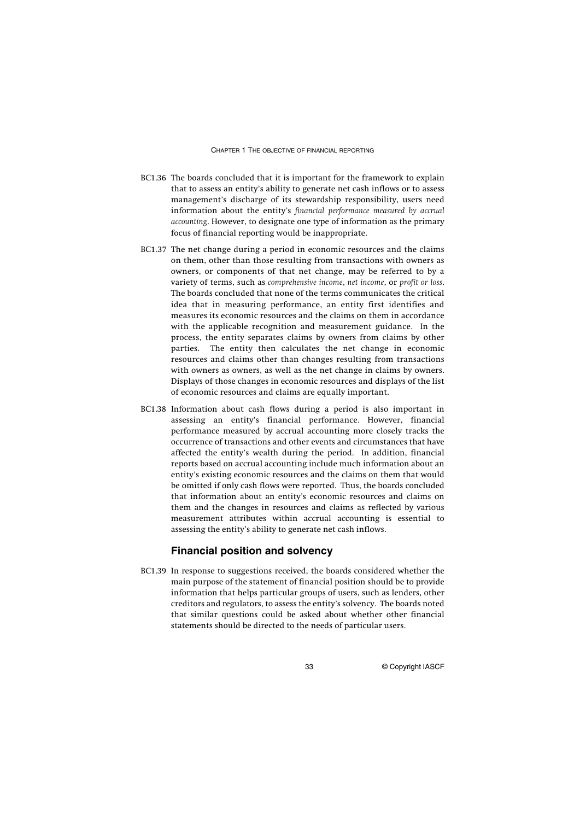CHAPTER 1 THE OBJECTIVE OF FINANCIAL REPORTING

- BC1.36 The boards concluded that it is important for the framework to explain that to assess an entity's ability to generate net cash inflows or to assess management's discharge of its stewardship responsibility, users need information about the entity's *financial performance measured by accrual accounting*. However, to designate one type of information as the primary focus of financial reporting would be inappropriate.
- BC1.37 The net change during a period in economic resources and the claims on them, other than those resulting from transactions with owners as owners, or components of that net change, may be referred to by a variety of terms, such as *comprehensive income*, *net income*, or *profit or loss*. The boards concluded that none of the terms communicates the critical idea that in measuring performance, an entity first identifies and measures its economic resources and the claims on them in accordance with the applicable recognition and measurement guidance. In the process, the entity separates claims by owners from claims by other parties. The entity then calculates the net change in economic resources and claims other than changes resulting from transactions with owners as owners, as well as the net change in claims by owners. Displays of those changes in economic resources and displays of the list of economic resources and claims are equally important.
- BC1.38 Information about cash flows during a period is also important in assessing an entity's financial performance. However, financial performance measured by accrual accounting more closely tracks the occurrence of transactions and other events and circumstances that have affected the entity's wealth during the period. In addition, financial reports based on accrual accounting include much information about an entity's existing economic resources and the claims on them that would be omitted if only cash flows were reported. Thus, the boards concluded that information about an entity's economic resources and claims on them and the changes in resources and claims as reflected by various measurement attributes within accrual accounting is essential to assessing the entity's ability to generate net cash inflows.

# **Financial position and solvency**

BC1.39 In response to suggestions received, the boards considered whether the main purpose of the statement of financial position should be to provide information that helps particular groups of users, such as lenders, other creditors and regulators, to assess the entity's solvency. The boards noted that similar questions could be asked about whether other financial statements should be directed to the needs of particular users.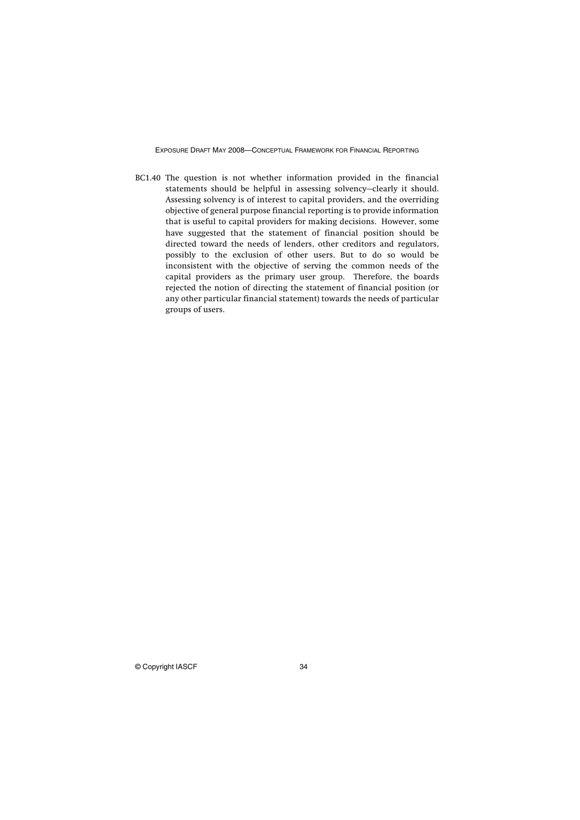BC1.40 The question is not whether information provided in the financial statements should be helpful in assessing solvency—clearly it should. Assessing solvency is of interest to capital providers, and the overriding objective of general purpose financial reporting is to provide information that is useful to capital providers for making decisions. However, some have suggested that the statement of financial position should be directed toward the needs of lenders, other creditors and regulators, possibly to the exclusion of other users. But to do so would be inconsistent with the objective of serving the common needs of the capital providers as the primary user group. Therefore, the boards rejected the notion of directing the statement of financial position (or any other particular financial statement) towards the needs of particular groups of users.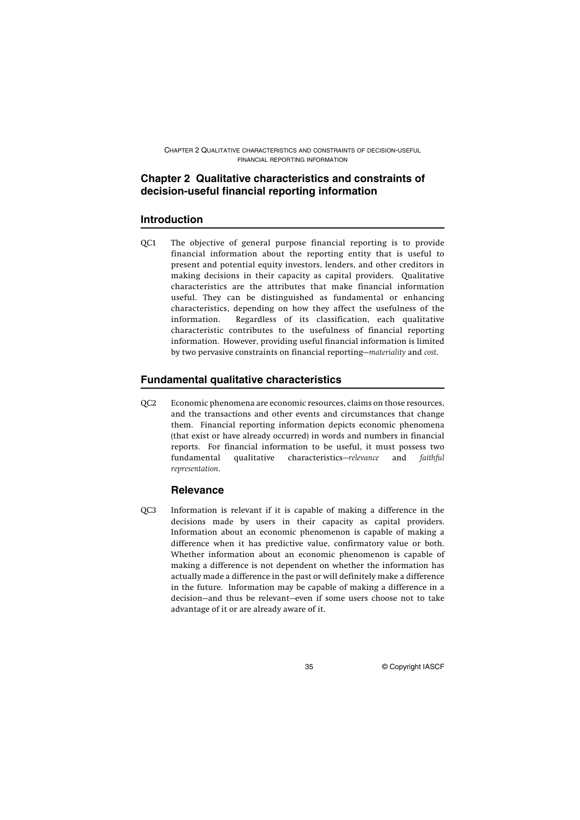# **Chapter 2 Qualitative characteristics and constraints of decision-useful financial reporting information**

# **Introduction**

QC1 The objective of general purpose financial reporting is to provide financial information about the reporting entity that is useful to present and potential equity investors, lenders, and other creditors in making decisions in their capacity as capital providers. Qualitative characteristics are the attributes that make financial information useful. They can be distinguished as fundamental or enhancing characteristics, depending on how they affect the usefulness of the information. Regardless of its classification, each qualitative characteristic contributes to the usefulness of financial reporting information. However, providing useful financial information is limited by two pervasive constraints on financial reporting—*materiality* and *cost*.

#### **Fundamental qualitative characteristics**

QC2 Economic phenomena are economic resources, claims on those resources, and the transactions and other events and circumstances that change them. Financial reporting information depicts economic phenomena (that exist or have already occurred) in words and numbers in financial reports. For financial information to be useful, it must possess two fundamental qualitative characteristics—*relevance* and *faithful representation*.

#### **Relevance**

QC3 Information is relevant if it is capable of making a difference in the decisions made by users in their capacity as capital providers. Information about an economic phenomenon is capable of making a difference when it has predictive value, confirmatory value or both. Whether information about an economic phenomenon is capable of making a difference is not dependent on whether the information has actually made a difference in the past or will definitely make a difference in the future. Information may be capable of making a difference in a decision—and thus be relevant—even if some users choose not to take advantage of it or are already aware of it.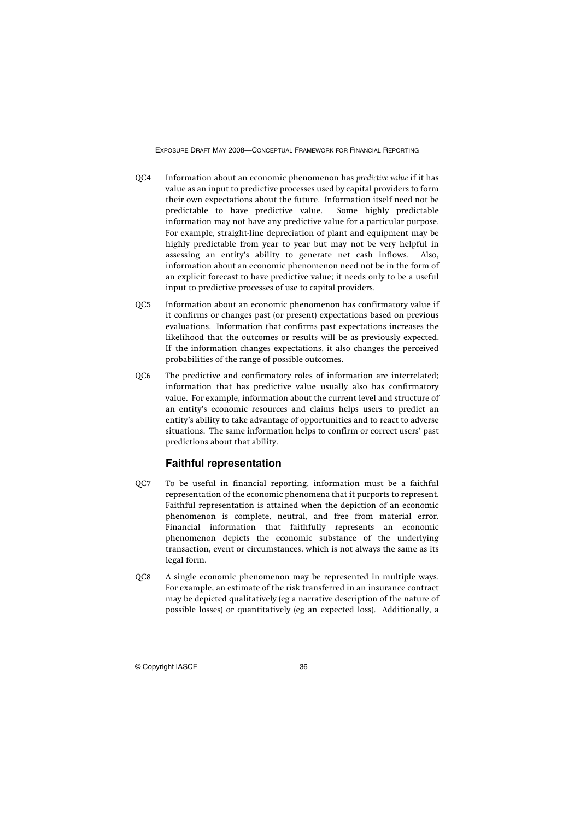- QC4 Information about an economic phenomenon has *predictive value* if it has value as an input to predictive processes used by capital providers to form their own expectations about the future. Information itself need not be predictable to have predictive value. Some highly predictable information may not have any predictive value for a particular purpose. For example, straight-line depreciation of plant and equipment may be highly predictable from year to year but may not be very helpful in assessing an entity's ability to generate net cash inflows. Also, information about an economic phenomenon need not be in the form of an explicit forecast to have predictive value; it needs only to be a useful input to predictive processes of use to capital providers.
- QC5 Information about an economic phenomenon has confirmatory value if it confirms or changes past (or present) expectations based on previous evaluations. Information that confirms past expectations increases the likelihood that the outcomes or results will be as previously expected. If the information changes expectations, it also changes the perceived probabilities of the range of possible outcomes.
- QC6 The predictive and confirmatory roles of information are interrelated; information that has predictive value usually also has confirmatory value. For example, information about the current level and structure of an entity's economic resources and claims helps users to predict an entity's ability to take advantage of opportunities and to react to adverse situations. The same information helps to confirm or correct users' past predictions about that ability.

# **Faithful representation**

- QC7 To be useful in financial reporting, information must be a faithful representation of the economic phenomena that it purports to represent. Faithful representation is attained when the depiction of an economic phenomenon is complete, neutral, and free from material error. Financial information that faithfully represents an economic phenomenon depicts the economic substance of the underlying transaction, event or circumstances, which is not always the same as its legal form.
- QC8 A single economic phenomenon may be represented in multiple ways. For example, an estimate of the risk transferred in an insurance contract may be depicted qualitatively (eg a narrative description of the nature of possible losses) or quantitatively (eg an expected loss). Additionally, a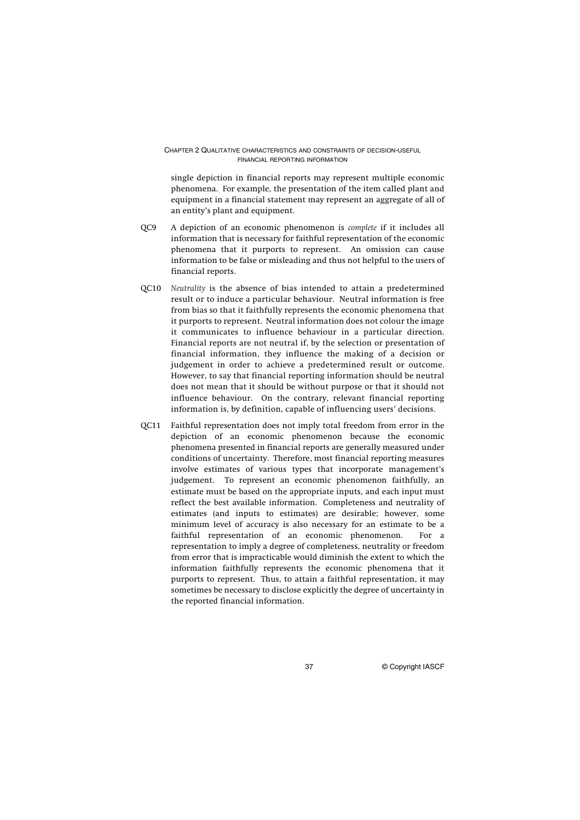single depiction in financial reports may represent multiple economic phenomena. For example, the presentation of the item called plant and equipment in a financial statement may represent an aggregate of all of an entity's plant and equipment.

- QC9 A depiction of an economic phenomenon is *complete* if it includes all information that is necessary for faithful representation of the economic phenomena that it purports to represent. An omission can cause information to be false or misleading and thus not helpful to the users of financial reports.
- QC10 *Neutrality* is the absence of bias intended to attain a predetermined result or to induce a particular behaviour. Neutral information is free from bias so that it faithfully represents the economic phenomena that it purports to represent. Neutral information does not colour the image it communicates to influence behaviour in a particular direction. Financial reports are not neutral if, by the selection or presentation of financial information, they influence the making of a decision or judgement in order to achieve a predetermined result or outcome. However, to say that financial reporting information should be neutral does not mean that it should be without purpose or that it should not influence behaviour. On the contrary, relevant financial reporting information is, by definition, capable of influencing users' decisions.
- QC11 Faithful representation does not imply total freedom from error in the depiction of an economic phenomenon because the economic phenomena presented in financial reports are generally measured under conditions of uncertainty. Therefore, most financial reporting measures involve estimates of various types that incorporate management's judgement. To represent an economic phenomenon faithfully, an estimate must be based on the appropriate inputs, and each input must reflect the best available information. Completeness and neutrality of estimates (and inputs to estimates) are desirable; however, some minimum level of accuracy is also necessary for an estimate to be a faithful representation of an economic phenomenon. For a representation to imply a degree of completeness, neutrality or freedom from error that is impracticable would diminish the extent to which the information faithfully represents the economic phenomena that it purports to represent. Thus, to attain a faithful representation, it may sometimes be necessary to disclose explicitly the degree of uncertainty in the reported financial information.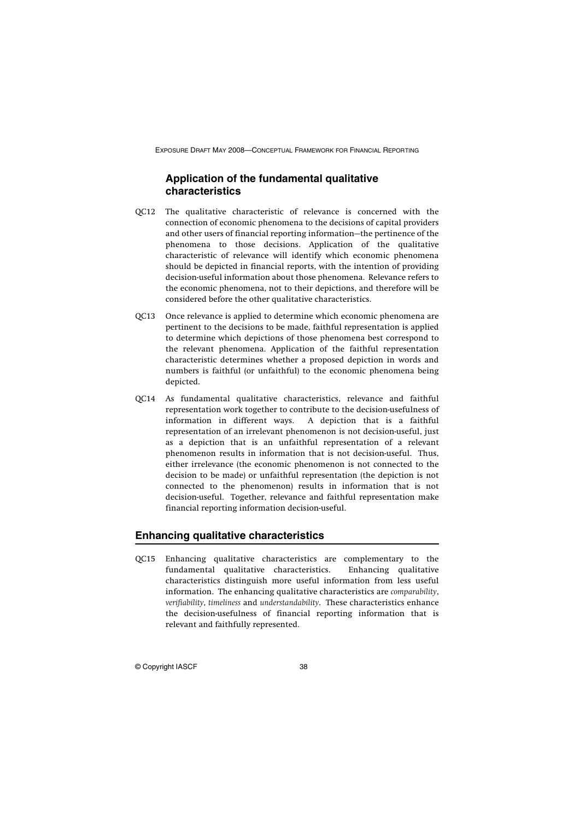# **Application of the fundamental qualitative characteristics**

- QC12 The qualitative characteristic of relevance is concerned with the connection of economic phenomena to the decisions of capital providers and other users of financial reporting information—the pertinence of the phenomena to those decisions. Application of the qualitative characteristic of relevance will identify which economic phenomena should be depicted in financial reports, with the intention of providing decision-useful information about those phenomena. Relevance refers to the economic phenomena, not to their depictions, and therefore will be considered before the other qualitative characteristics.
- QC13 Once relevance is applied to determine which economic phenomena are pertinent to the decisions to be made, faithful representation is applied to determine which depictions of those phenomena best correspond to the relevant phenomena. Application of the faithful representation characteristic determines whether a proposed depiction in words and numbers is faithful (or unfaithful) to the economic phenomena being depicted.
- QC14 As fundamental qualitative characteristics, relevance and faithful representation work together to contribute to the decision-usefulness of information in different ways. A depiction that is a faithful representation of an irrelevant phenomenon is not decision-useful, just as a depiction that is an unfaithful representation of a relevant phenomenon results in information that is not decision-useful. Thus, either irrelevance (the economic phenomenon is not connected to the decision to be made) or unfaithful representation (the depiction is not connected to the phenomenon) results in information that is not decision-useful. Together, relevance and faithful representation make financial reporting information decision-useful.

#### **Enhancing qualitative characteristics**

QC15 Enhancing qualitative characteristics are complementary to the fundamental qualitative characteristics. Enhancing qualitative characteristics distinguish more useful information from less useful information. The enhancing qualitative characteristics are *comparability*, *verifiability*, *timeliness* and *understandability*. These characteristics enhance the decision-usefulness of financial reporting information that is relevant and faithfully represented.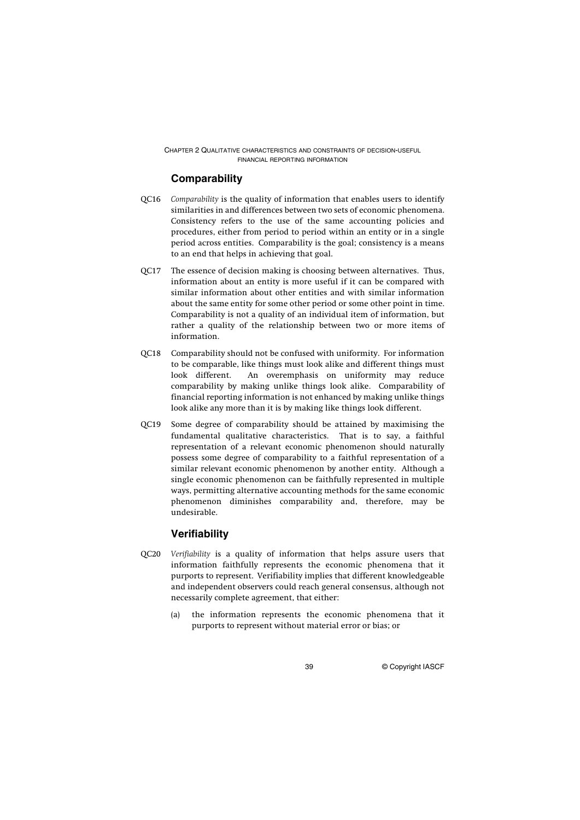# **Comparability**

- QC16 *Comparability* is the quality of information that enables users to identify similarities in and differences between two sets of economic phenomena. Consistency refers to the use of the same accounting policies and procedures, either from period to period within an entity or in a single period across entities. Comparability is the goal; consistency is a means to an end that helps in achieving that goal.
- QC17 The essence of decision making is choosing between alternatives. Thus, information about an entity is more useful if it can be compared with similar information about other entities and with similar information about the same entity for some other period or some other point in time. Comparability is not a quality of an individual item of information, but rather a quality of the relationship between two or more items of information.
- QC18 Comparability should not be confused with uniformity. For information to be comparable, like things must look alike and different things must look different. An overemphasis on uniformity may reduce comparability by making unlike things look alike. Comparability of financial reporting information is not enhanced by making unlike things look alike any more than it is by making like things look different.
- QC19 Some degree of comparability should be attained by maximising the fundamental qualitative characteristics. That is to say, a faithful representation of a relevant economic phenomenon should naturally possess some degree of comparability to a faithful representation of a similar relevant economic phenomenon by another entity. Although a single economic phenomenon can be faithfully represented in multiple ways, permitting alternative accounting methods for the same economic phenomenon diminishes comparability and, therefore, may be undesirable.

#### **Verifiability**

- QC20 *Verifiability* is a quality of information that helps assure users that information faithfully represents the economic phenomena that it purports to represent. Verifiability implies that different knowledgeable and independent observers could reach general consensus, although not necessarily complete agreement, that either:
	- (a) the information represents the economic phenomena that it purports to represent without material error or bias; or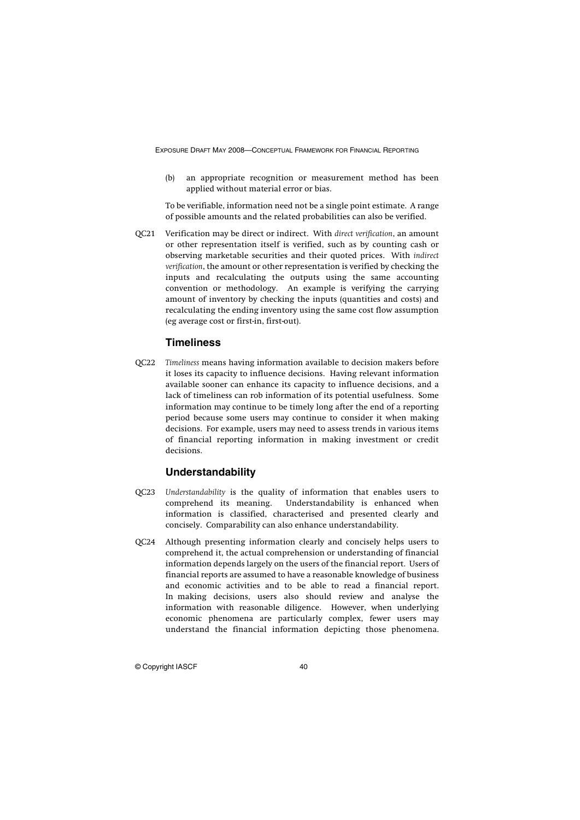(b) an appropriate recognition or measurement method has been applied without material error or bias.

To be verifiable, information need not be a single point estimate. A range of possible amounts and the related probabilities can also be verified.

QC21 Verification may be direct or indirect. With *direct verification*, an amount or other representation itself is verified, such as by counting cash or observing marketable securities and their quoted prices. With *indirect verification*, the amount or other representation is verified by checking the inputs and recalculating the outputs using the same accounting convention or methodology. An example is verifying the carrying amount of inventory by checking the inputs (quantities and costs) and recalculating the ending inventory using the same cost flow assumption (eg average cost or first-in, first-out).

#### **Timeliness**

QC22 *Timeliness* means having information available to decision makers before it loses its capacity to influence decisions. Having relevant information available sooner can enhance its capacity to influence decisions, and a lack of timeliness can rob information of its potential usefulness. Some information may continue to be timely long after the end of a reporting period because some users may continue to consider it when making decisions. For example, users may need to assess trends in various items of financial reporting information in making investment or credit decisions.

#### **Understandability**

- QC23 *Understandability* is the quality of information that enables users to comprehend its meaning. Understandability is enhanced when information is classified, characterised and presented clearly and concisely. Comparability can also enhance understandability.
- QC24 Although presenting information clearly and concisely helps users to comprehend it, the actual comprehension or understanding of financial information depends largely on the users of the financial report. Users of financial reports are assumed to have a reasonable knowledge of business and economic activities and to be able to read a financial report. In making decisions, users also should review and analyse the information with reasonable diligence. However, when underlying economic phenomena are particularly complex, fewer users may understand the financial information depicting those phenomena.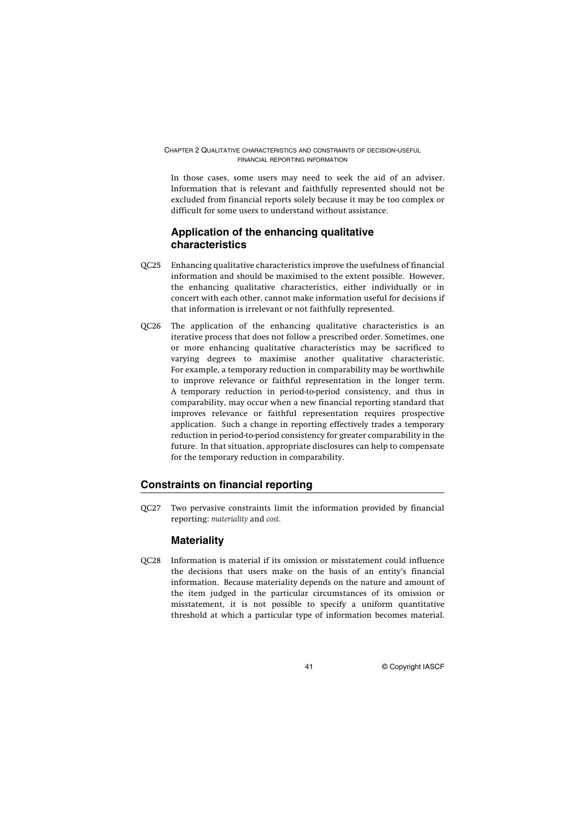In those cases, some users may need to seek the aid of an adviser. Information that is relevant and faithfully represented should not be excluded from financial reports solely because it may be too complex or difficult for some users to understand without assistance.

# **Application of the enhancing qualitative characteristics**

- QC25 Enhancing qualitative characteristics improve the usefulness of financial information and should be maximised to the extent possible. However, the enhancing qualitative characteristics, either individually or in concert with each other, cannot make information useful for decisions if that information is irrelevant or not faithfully represented.
- QC26 The application of the enhancing qualitative characteristics is an iterative process that does not follow a prescribed order. Sometimes, one or more enhancing qualitative characteristics may be sacrificed to varying degrees to maximise another qualitative characteristic. For example, a temporary reduction in comparability may be worthwhile to improve relevance or faithful representation in the longer term. A temporary reduction in period-to-period consistency, and thus in comparability, may occur when a new financial reporting standard that improves relevance or faithful representation requires prospective application. Such a change in reporting effectively trades a temporary reduction in period-to-period consistency for greater comparability in the future. In that situation, appropriate disclosures can help to compensate for the temporary reduction in comparability.

# **Constraints on financial reporting**

QC27 Two pervasive constraints limit the information provided by financial reporting: *materiality* and *cost*.

# **Materiality**

QC28 Information is material if its omission or misstatement could influence the decisions that users make on the basis of an entity's financial information. Because materiality depends on the nature and amount of the item judged in the particular circumstances of its omission or misstatement, it is not possible to specify a uniform quantitative threshold at which a particular type of information becomes material.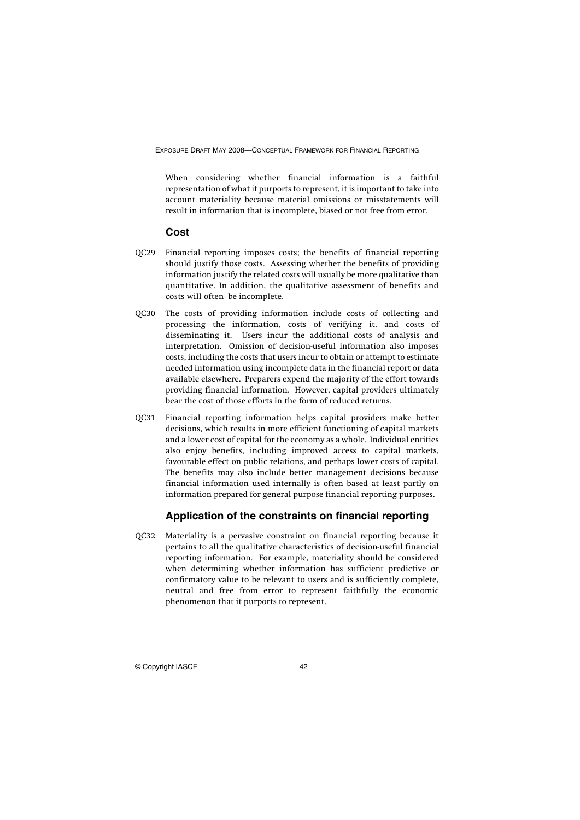When considering whether financial information is a faithful representation of what it purports to represent, it is important to take into account materiality because material omissions or misstatements will result in information that is incomplete, biased or not free from error.

#### **Cost**

- QC29 Financial reporting imposes costs; the benefits of financial reporting should justify those costs. Assessing whether the benefits of providing information justify the related costs will usually be more qualitative than quantitative. In addition, the qualitative assessment of benefits and costs will often be incomplete.
- QC30 The costs of providing information include costs of collecting and processing the information, costs of verifying it, and costs of disseminating it. Users incur the additional costs of analysis and interpretation. Omission of decision-useful information also imposes costs, including the costs that users incur to obtain or attempt to estimate needed information using incomplete data in the financial report or data available elsewhere. Preparers expend the majority of the effort towards providing financial information. However, capital providers ultimately bear the cost of those efforts in the form of reduced returns.
- QC31 Financial reporting information helps capital providers make better decisions, which results in more efficient functioning of capital markets and a lower cost of capital for the economy as a whole. Individual entities also enjoy benefits, including improved access to capital markets, favourable effect on public relations, and perhaps lower costs of capital. The benefits may also include better management decisions because financial information used internally is often based at least partly on information prepared for general purpose financial reporting purposes.

#### **Application of the constraints on financial reporting**

QC32 Materiality is a pervasive constraint on financial reporting because it pertains to all the qualitative characteristics of decision-useful financial reporting information. For example, materiality should be considered when determining whether information has sufficient predictive or confirmatory value to be relevant to users and is sufficiently complete, neutral and free from error to represent faithfully the economic phenomenon that it purports to represent.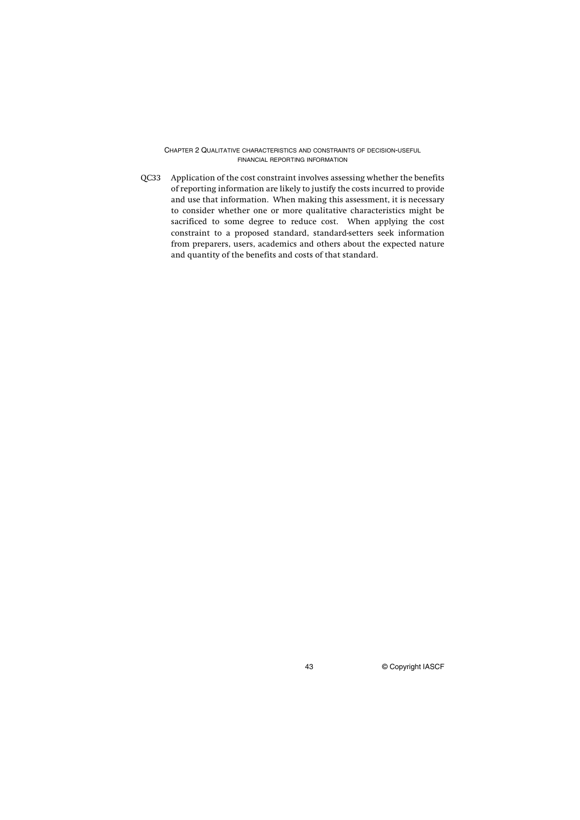QC33 Application of the cost constraint involves assessing whether the benefits of reporting information are likely to justify the costs incurred to provide and use that information. When making this assessment, it is necessary to consider whether one or more qualitative characteristics might be sacrificed to some degree to reduce cost. When applying the cost constraint to a proposed standard, standard-setters seek information from preparers, users, academics and others about the expected nature and quantity of the benefits and costs of that standard.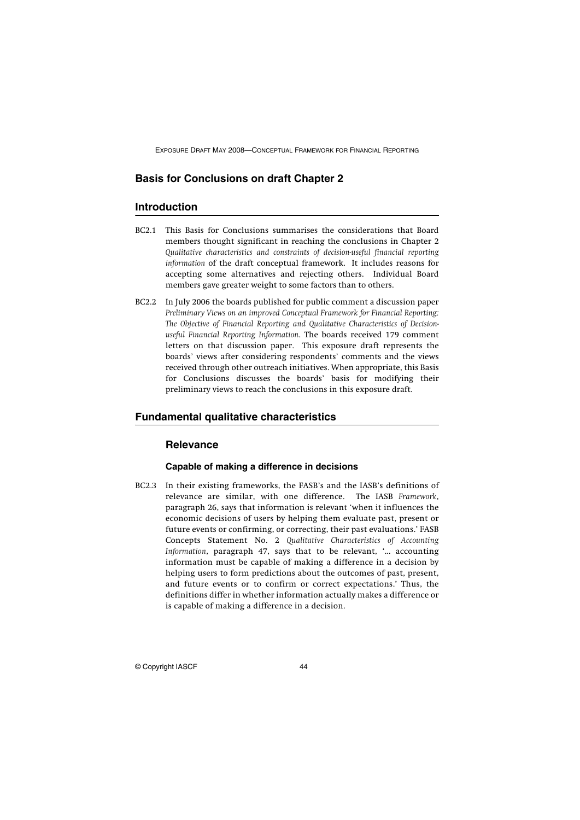# **Basis for Conclusions on draft Chapter 2**

# **Introduction**

- BC2.1 This Basis for Conclusions summarises the considerations that Board members thought significant in reaching the conclusions in Chapter 2 *Qualitative characteristics and constraints of decision-useful financial reporting information* of the draft conceptual framework. It includes reasons for accepting some alternatives and rejecting others. Individual Board members gave greater weight to some factors than to others.
- BC2.2 In July 2006 the boards published for public comment a discussion paper *Preliminary Views on an improved Conceptual Framework for Financial Reporting: The Objective of Financial Reporting and Qualitative Characteristics of Decisionuseful Financial Reporting Information*. The boards received 179 comment letters on that discussion paper. This exposure draft represents the boards' views after considering respondents' comments and the views received through other outreach initiatives. When appropriate, this Basis for Conclusions discusses the boards' basis for modifying their preliminary views to reach the conclusions in this exposure draft.

# **Fundamental qualitative characteristics**

#### **Relevance**

#### **Capable of making a difference in decisions**

BC2.3 In their existing frameworks, the FASB's and the IASB's definitions of relevance are similar, with one difference. The IASB *Framework*, paragraph 26, says that information is relevant 'when it influences the economic decisions of users by helping them evaluate past, present or future events or confirming, or correcting, their past evaluations.' FASB Concepts Statement No. 2 *Qualitative Characteristics of Accounting Information*, paragraph 47, says that to be relevant, '… accounting information must be capable of making a difference in a decision by helping users to form predictions about the outcomes of past, present, and future events or to confirm or correct expectations.' Thus, the definitions differ in whether information actually makes a difference or is capable of making a difference in a decision.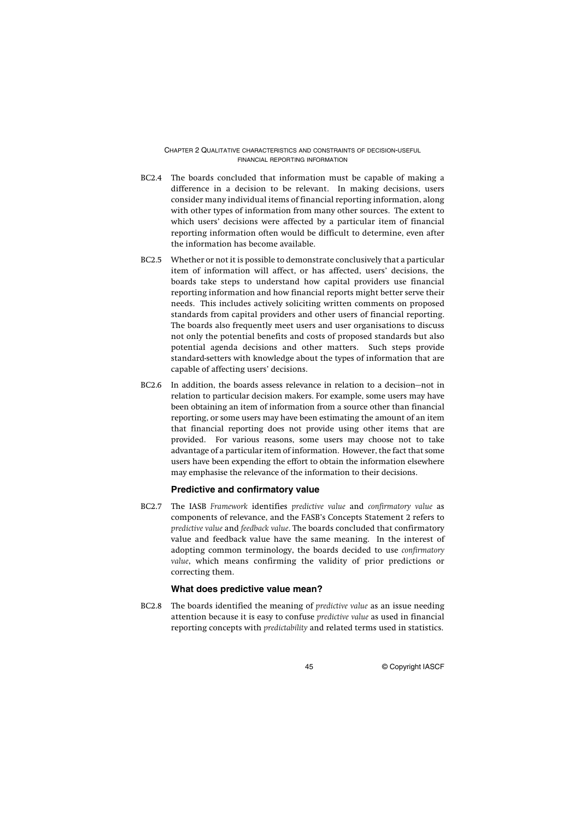- BC2.4 The boards concluded that information must be capable of making a difference in a decision to be relevant. In making decisions, users consider many individual items of financial reporting information, along with other types of information from many other sources. The extent to which users' decisions were affected by a particular item of financial reporting information often would be difficult to determine, even after the information has become available.
- BC2.5 Whether or not it is possible to demonstrate conclusively that a particular item of information will affect, or has affected, users' decisions, the boards take steps to understand how capital providers use financial reporting information and how financial reports might better serve their needs. This includes actively soliciting written comments on proposed standards from capital providers and other users of financial reporting. The boards also frequently meet users and user organisations to discuss not only the potential benefits and costs of proposed standards but also potential agenda decisions and other matters. Such steps provide standard-setters with knowledge about the types of information that are capable of affecting users' decisions.
- BC2.6 In addition, the boards assess relevance in relation to a decision—not in relation to particular decision makers. For example, some users may have been obtaining an item of information from a source other than financial reporting, or some users may have been estimating the amount of an item that financial reporting does not provide using other items that are provided. For various reasons, some users may choose not to take advantage of a particular item of information. However, the fact that some users have been expending the effort to obtain the information elsewhere may emphasise the relevance of the information to their decisions.

#### **Predictive and confirmatory value**

BC2.7 The IASB *Framework* identifies *predictive value* and *confirmatory value* as components of relevance, and the FASB's Concepts Statement 2 refers to *predictive value* and *feedback value*. The boards concluded that confirmatory value and feedback value have the same meaning. In the interest of adopting common terminology, the boards decided to use *confirmatory value*, which means confirming the validity of prior predictions or correcting them.

#### **What does predictive value mean?**

BC2.8 The boards identified the meaning of *predictive value* as an issue needing attention because it is easy to confuse *predictive value* as used in financial reporting concepts with *predictability* and related terms used in statistics.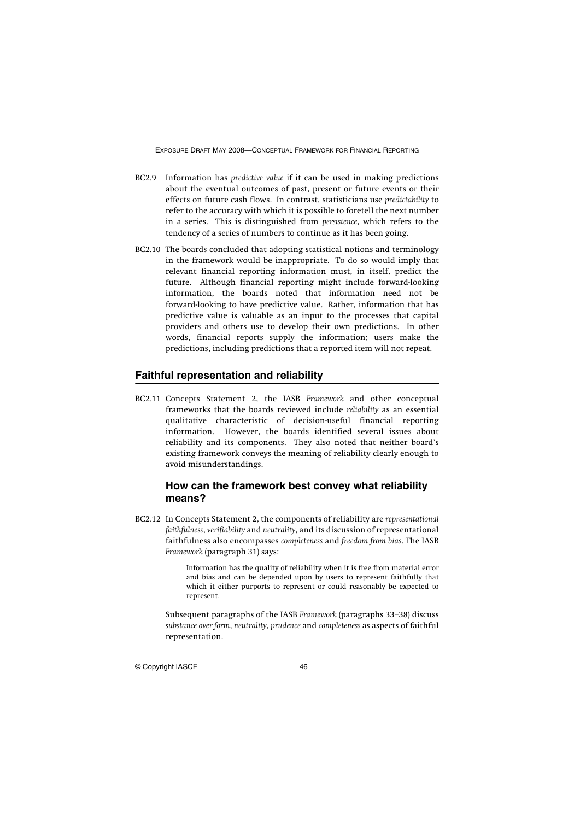- BC2.9 Information has *predictive value* if it can be used in making predictions about the eventual outcomes of past, present or future events or their effects on future cash flows. In contrast, statisticians use *predictability* to refer to the accuracy with which it is possible to foretell the next number in a series. This is distinguished from *persistence*, which refers to the tendency of a series of numbers to continue as it has been going.
- BC2.10 The boards concluded that adopting statistical notions and terminology in the framework would be inappropriate. To do so would imply that relevant financial reporting information must, in itself, predict the future. Although financial reporting might include forward-looking information, the boards noted that information need not be forward-looking to have predictive value. Rather, information that has predictive value is valuable as an input to the processes that capital providers and others use to develop their own predictions. In other words, financial reports supply the information; users make the predictions, including predictions that a reported item will not repeat.

# **Faithful representation and reliability**

BC2.11 Concepts Statement 2, the IASB *Framework* and other conceptual frameworks that the boards reviewed include *reliability* as an essential qualitative characteristic of decision-useful financial reporting information. However, the boards identified several issues about reliability and its components. They also noted that neither board's existing framework conveys the meaning of reliability clearly enough to avoid misunderstandings.

# **How can the framework best convey what reliability means?**

BC2.12 In Concepts Statement 2, the components of reliability are *representational faithfulness*, *verifiability* and *neutrality*, and its discussion of representational faithfulness also encompasses *completeness* and *freedom from bias*. The IASB *Framework* (paragraph 31) says:

> Information has the quality of reliability when it is free from material error and bias and can be depended upon by users to represent faithfully that which it either purports to represent or could reasonably be expected to represent.

Subsequent paragraphs of the IASB *Framework* (paragraphs 33–38) discuss *substance over form*, *neutrality*, *prudence* and *completeness* as aspects of faithful representation.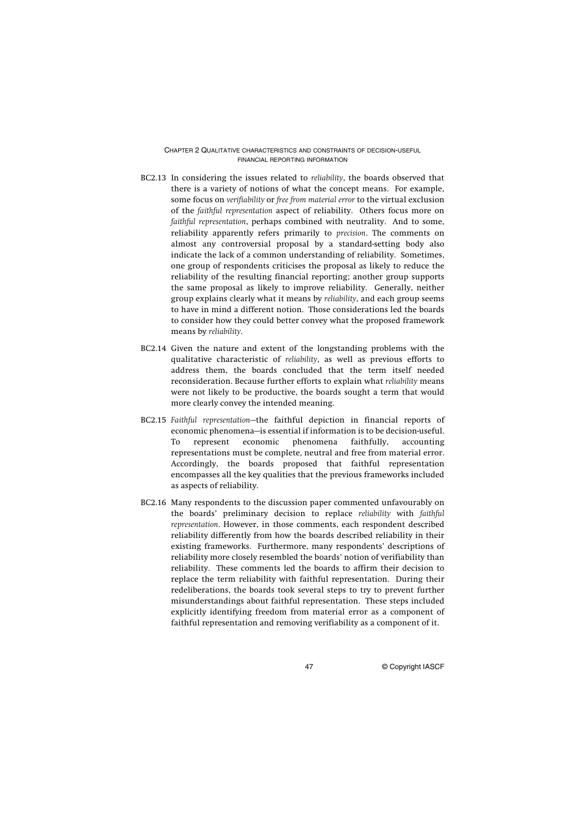- BC2.13 In considering the issues related to *reliability*, the boards observed that there is a variety of notions of what the concept means. For example, some focus on *verifiability* or *free from material error* to the virtual exclusion of the *faithful representation* aspect of reliability. Others focus more on *faithful representation*, perhaps combined with neutrality. And to some, reliability apparently refers primarily to *precision*. The comments on almost any controversial proposal by a standard-setting body also indicate the lack of a common understanding of reliability. Sometimes, one group of respondents criticises the proposal as likely to reduce the reliability of the resulting financial reporting; another group supports the same proposal as likely to improve reliability. Generally, neither group explains clearly what it means by *reliability*, and each group seems to have in mind a different notion. Those considerations led the boards to consider how they could better convey what the proposed framework means by *reliability*.
- BC2.14 Given the nature and extent of the longstanding problems with the qualitative characteristic of *reliability*, as well as previous efforts to address them, the boards concluded that the term itself needed reconsideration. Because further efforts to explain what *reliability* means were not likely to be productive, the boards sought a term that would more clearly convey the intended meaning.
- BC2.15 *Faithful representation*—the faithful depiction in financial reports of economic phenomena—is essential if information is to be decision-useful. To represent economic phenomena faithfully, accounting representations must be complete, neutral and free from material error. Accordingly, the boards proposed that faithful representation encompasses all the key qualities that the previous frameworks included as aspects of reliability.
- BC2.16 Many respondents to the discussion paper commented unfavourably on the boards' preliminary decision to replace *reliability* with *faithful representation*. However, in those comments, each respondent described reliability differently from how the boards described reliability in their existing frameworks. Furthermore, many respondents' descriptions of reliability more closely resembled the boards' notion of verifiability than reliability. These comments led the boards to affirm their decision to replace the term reliability with faithful representation. During their redeliberations, the boards took several steps to try to prevent further misunderstandings about faithful representation. These steps included explicitly identifying freedom from material error as a component of faithful representation and removing verifiability as a component of it.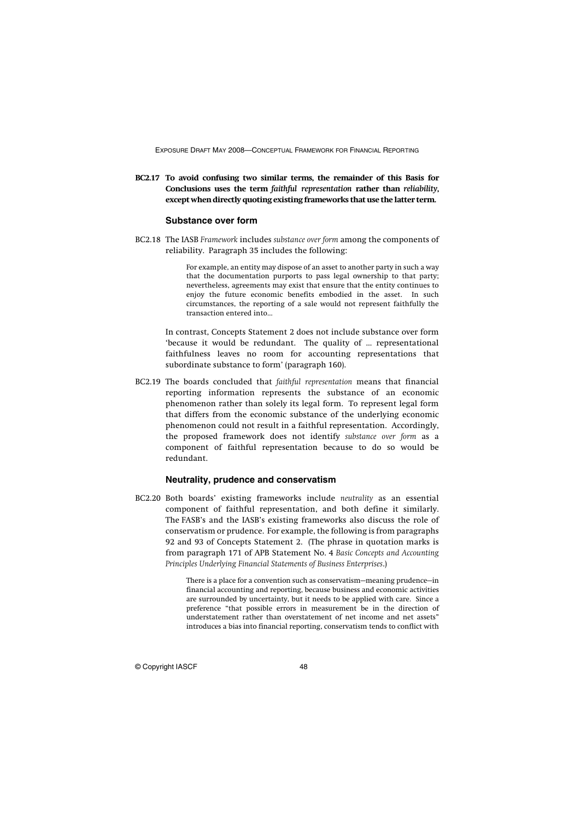**BC2.17 To avoid confusing two similar terms, the remainder of this Basis for Conclusions uses the term** *faithful representation* **rather than** *reliability***, except when directly quoting existing frameworks that use the latter term.** 

#### **Substance over form**

BC2.18 The IASB *Framework* includes *substance over form* among the components of reliability. Paragraph 35 includes the following:

> For example, an entity may dispose of an asset to another party in such a way that the documentation purports to pass legal ownership to that party; nevertheless, agreements may exist that ensure that the entity continues to enjoy the future economic benefits embodied in the asset. In such circumstances, the reporting of a sale would not represent faithfully the transaction entered into...

In contrast, Concepts Statement 2 does not include substance over form 'because it would be redundant. The quality of … representational faithfulness leaves no room for accounting representations that subordinate substance to form' (paragraph 160).

BC2.19 The boards concluded that *faithful representation* means that financial reporting information represents the substance of an economic phenomenon rather than solely its legal form. To represent legal form that differs from the economic substance of the underlying economic phenomenon could not result in a faithful representation. Accordingly, the proposed framework does not identify *substance over form* as a component of faithful representation because to do so would be redundant.

#### **Neutrality, prudence and conservatism**

BC2.20 Both boards' existing frameworks include *neutrality* as an essential component of faithful representation, and both define it similarly. The FASB's and the IASB's existing frameworks also discuss the role of conservatism or prudence. For example, the following is from paragraphs 92 and 93 of Concepts Statement 2. (The phrase in quotation marks is from paragraph 171 of APB Statement No. 4 *Basic Concepts and Accounting Principles Underlying Financial Statements of Business Enterprises*.)

> There is a place for a convention such as conservatism—meaning prudence—in financial accounting and reporting, because business and economic activities are surrounded by uncertainty, but it needs to be applied with care. Since a preference "that possible errors in measurement be in the direction of understatement rather than overstatement of net income and net assets" introduces a bias into financial reporting, conservatism tends to conflict with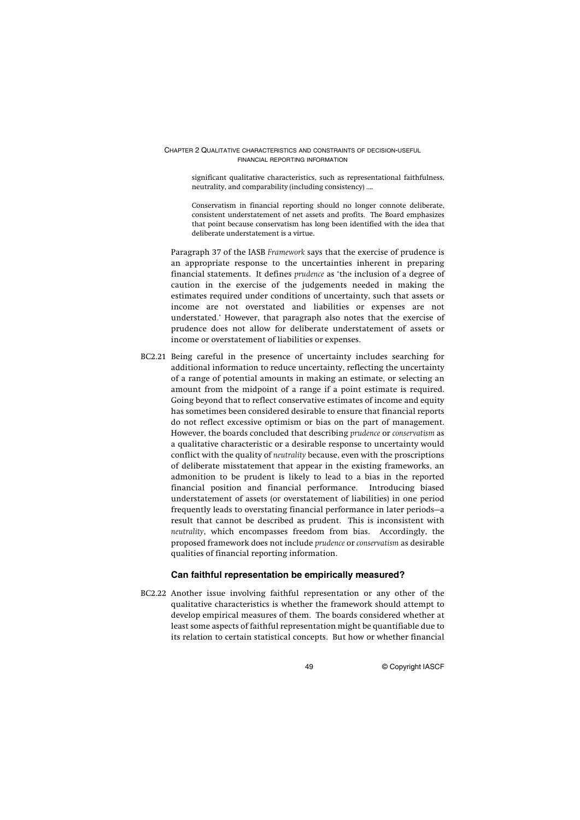significant qualitative characteristics, such as representational faithfulness, neutrality, and comparability (including consistency) ….

Conservatism in financial reporting should no longer connote deliberate, consistent understatement of net assets and profits. The Board emphasizes that point because conservatism has long been identified with the idea that deliberate understatement is a virtue.

Paragraph 37 of the IASB *Framework* says that the exercise of prudence is an appropriate response to the uncertainties inherent in preparing financial statements. It defines *prudence* as 'the inclusion of a degree of caution in the exercise of the judgements needed in making the estimates required under conditions of uncertainty, such that assets or income are not overstated and liabilities or expenses are not understated.' However, that paragraph also notes that the exercise of prudence does not allow for deliberate understatement of assets or income or overstatement of liabilities or expenses.

BC2.21 Being careful in the presence of uncertainty includes searching for additional information to reduce uncertainty, reflecting the uncertainty of a range of potential amounts in making an estimate, or selecting an amount from the midpoint of a range if a point estimate is required. Going beyond that to reflect conservative estimates of income and equity has sometimes been considered desirable to ensure that financial reports do not reflect excessive optimism or bias on the part of management. However, the boards concluded that describing *prudence* or *conservatism* as a qualitative characteristic or a desirable response to uncertainty would conflict with the quality of *neutrality* because, even with the proscriptions of deliberate misstatement that appear in the existing frameworks, an admonition to be prudent is likely to lead to a bias in the reported financial position and financial performance. Introducing biased understatement of assets (or overstatement of liabilities) in one period frequently leads to overstating financial performance in later periods—a result that cannot be described as prudent. This is inconsistent with *neutrality*, which encompasses freedom from bias. Accordingly, the proposed framework does not include *prudence* or *conservatism* as desirable qualities of financial reporting information.

#### **Can faithful representation be empirically measured?**

BC2.22 Another issue involving faithful representation or any other of the qualitative characteristics is whether the framework should attempt to develop empirical measures of them. The boards considered whether at least some aspects of faithful representation might be quantifiable due to its relation to certain statistical concepts. But how or whether financial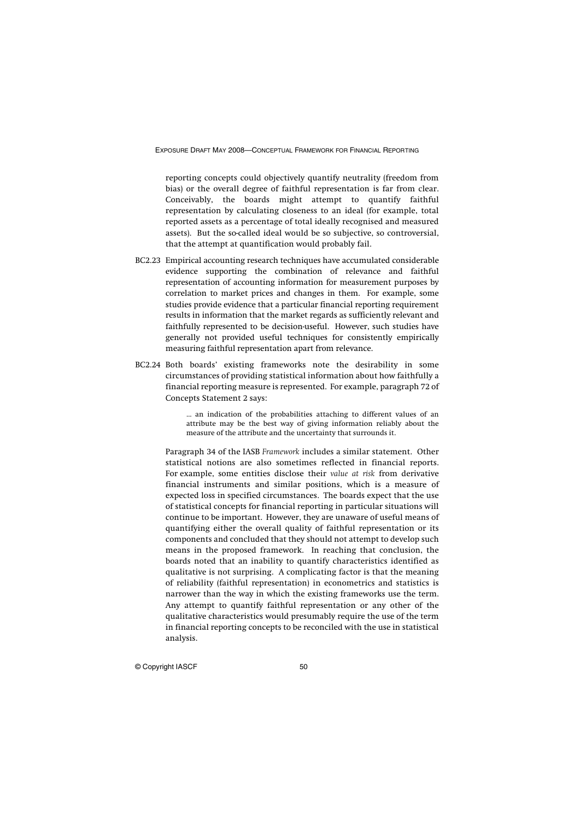reporting concepts could objectively quantify neutrality (freedom from bias) or the overall degree of faithful representation is far from clear. Conceivably, the boards might attempt to quantify faithful representation by calculating closeness to an ideal (for example, total reported assets as a percentage of total ideally recognised and measured assets). But the so-called ideal would be so subjective, so controversial, that the attempt at quantification would probably fail.

- BC2.23 Empirical accounting research techniques have accumulated considerable evidence supporting the combination of relevance and faithful representation of accounting information for measurement purposes by correlation to market prices and changes in them. For example, some studies provide evidence that a particular financial reporting requirement results in information that the market regards as sufficiently relevant and faithfully represented to be decision-useful. However, such studies have generally not provided useful techniques for consistently empirically measuring faithful representation apart from relevance.
- BC2.24 Both boards' existing frameworks note the desirability in some circumstances of providing statistical information about how faithfully a financial reporting measure is represented. For example, paragraph 72 of Concepts Statement 2 says:

… an indication of the probabilities attaching to different values of an attribute may be the best way of giving information reliably about the measure of the attribute and the uncertainty that surrounds it.

Paragraph 34 of the IASB *Framework* includes a similar statement. Other statistical notions are also sometimes reflected in financial reports. For example, some entities disclose their *value at risk* from derivative financial instruments and similar positions, which is a measure of expected loss in specified circumstances. The boards expect that the use of statistical concepts for financial reporting in particular situations will continue to be important. However, they are unaware of useful means of quantifying either the overall quality of faithful representation or its components and concluded that they should not attempt to develop such means in the proposed framework. In reaching that conclusion, the boards noted that an inability to quantify characteristics identified as qualitative is not surprising. A complicating factor is that the meaning of reliability (faithful representation) in econometrics and statistics is narrower than the way in which the existing frameworks use the term. Any attempt to quantify faithful representation or any other of the qualitative characteristics would presumably require the use of the term in financial reporting concepts to be reconciled with the use in statistical analysis.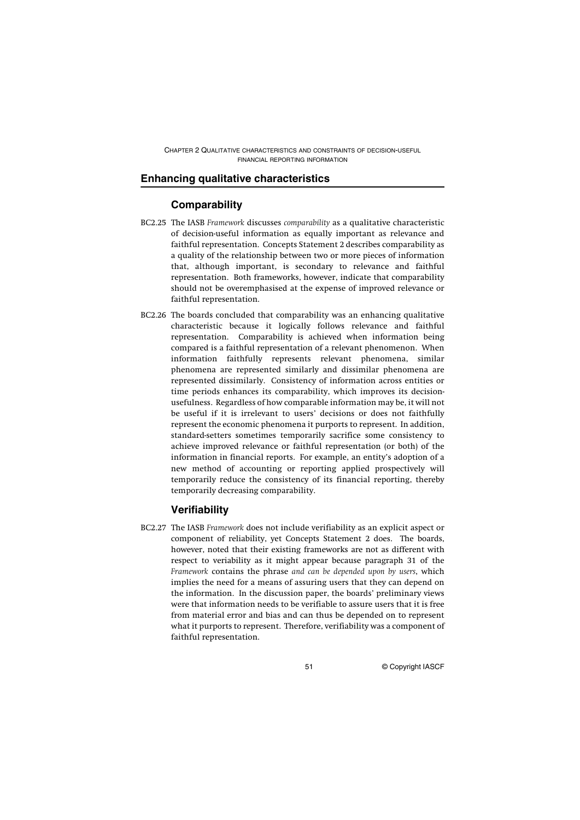# **Enhancing qualitative characteristics**

#### **Comparability**

- BC2.25 The IASB *Framework* discusses *comparability* as a qualitative characteristic of decision-useful information as equally important as relevance and faithful representation. Concepts Statement 2 describes comparability as a quality of the relationship between two or more pieces of information that, although important, is secondary to relevance and faithful representation. Both frameworks, however, indicate that comparability should not be overemphasised at the expense of improved relevance or faithful representation.
- BC2.26 The boards concluded that comparability was an enhancing qualitative characteristic because it logically follows relevance and faithful representation. Comparability is achieved when information being compared is a faithful representation of a relevant phenomenon. When information faithfully represents relevant phenomena, similar phenomena are represented similarly and dissimilar phenomena are represented dissimilarly. Consistency of information across entities or time periods enhances its comparability, which improves its decisionusefulness. Regardless of how comparable information may be, it will not be useful if it is irrelevant to users' decisions or does not faithfully represent the economic phenomena it purports to represent. In addition, standard-setters sometimes temporarily sacrifice some consistency to achieve improved relevance or faithful representation (or both) of the information in financial reports. For example, an entity's adoption of a new method of accounting or reporting applied prospectively will temporarily reduce the consistency of its financial reporting, thereby temporarily decreasing comparability.

# **Verifiability**

BC2.27 The IASB *Framework* does not include verifiability as an explicit aspect or component of reliability, yet Concepts Statement 2 does. The boards, however, noted that their existing frameworks are not as different with respect to veriability as it might appear because paragraph 31 of the *Framework* contains the phrase *and can be depended upon by users*, which implies the need for a means of assuring users that they can depend on the information. In the discussion paper, the boards' preliminary views were that information needs to be verifiable to assure users that it is free from material error and bias and can thus be depended on to represent what it purports to represent. Therefore, verifiability was a component of faithful representation.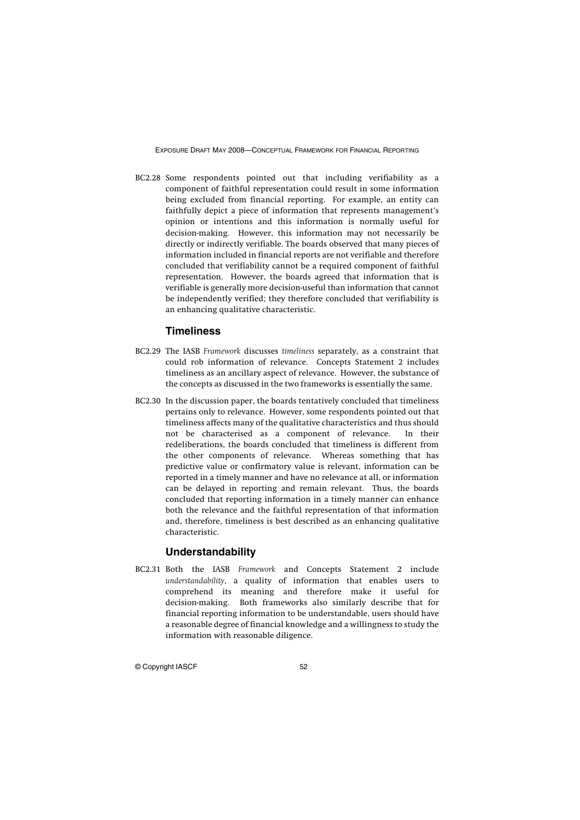BC2.28 Some respondents pointed out that including verifiability as a component of faithful representation could result in some information being excluded from financial reporting. For example, an entity can faithfully depict a piece of information that represents management's opinion or intentions and this information is normally useful for decision-making. However, this information may not necessarily be directly or indirectly verifiable. The boards observed that many pieces of information included in financial reports are not verifiable and therefore concluded that verifiability cannot be a required component of faithful representation. However, the boards agreed that information that is verifiable is generally more decision-useful than information that cannot be independently verified; they therefore concluded that verifiability is an enhancing qualitative characteristic.

#### **Timeliness**

- BC2.29 The IASB *Framework* discusses *timeliness* separately, as a constraint that could rob information of relevance. Concepts Statement 2 includes timeliness as an ancillary aspect of relevance. However, the substance of the concepts as discussed in the two frameworks is essentially the same.
- BC2.30 In the discussion paper, the boards tentatively concluded that timeliness pertains only to relevance. However, some respondents pointed out that timeliness affects many of the qualitative characteristics and thus should not be characterised as a component of relevance. In their redeliberations, the boards concluded that timeliness is different from the other components of relevance. Whereas something that has predictive value or confirmatory value is relevant, information can be reported in a timely manner and have no relevance at all, or information can be delayed in reporting and remain relevant. Thus, the boards concluded that reporting information in a timely manner can enhance both the relevance and the faithful representation of that information and, therefore, timeliness is best described as an enhancing qualitative characteristic.

#### **Understandability**

BC2.31 Both the IASB *Framework* and Concepts Statement 2 include *understandability*, a quality of information that enables users to comprehend its meaning and therefore make it useful for decision-making. Both frameworks also similarly describe that for financial reporting information to be understandable, users should have a reasonable degree of financial knowledge and a willingness to study the information with reasonable diligence.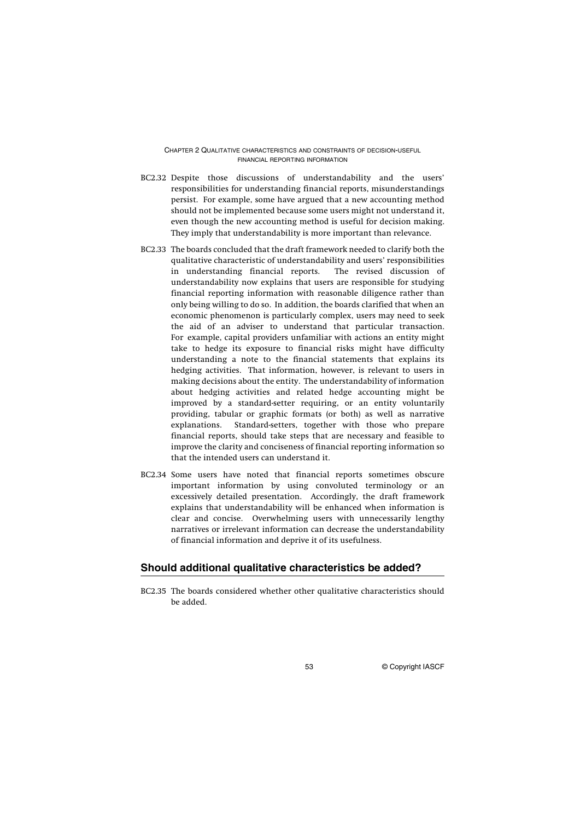- BC2.32 Despite those discussions of understandability and the users' responsibilities for understanding financial reports, misunderstandings persist. For example, some have argued that a new accounting method should not be implemented because some users might not understand it, even though the new accounting method is useful for decision making. They imply that understandability is more important than relevance.
- BC2.33 The boards concluded that the draft framework needed to clarify both the qualitative characteristic of understandability and users' responsibilities in understanding financial reports. The revised discussion of understandability now explains that users are responsible for studying financial reporting information with reasonable diligence rather than only being willing to do so. In addition, the boards clarified that when an economic phenomenon is particularly complex, users may need to seek the aid of an adviser to understand that particular transaction. For example, capital providers unfamiliar with actions an entity might take to hedge its exposure to financial risks might have difficulty understanding a note to the financial statements that explains its hedging activities. That information, however, is relevant to users in making decisions about the entity. The understandability of information about hedging activities and related hedge accounting might be improved by a standard-setter requiring, or an entity voluntarily providing, tabular or graphic formats (or both) as well as narrative explanations. Standard-setters, together with those who prepare financial reports, should take steps that are necessary and feasible to improve the clarity and conciseness of financial reporting information so that the intended users can understand it.
- BC2.34 Some users have noted that financial reports sometimes obscure important information by using convoluted terminology or an excessively detailed presentation. Accordingly, the draft framework explains that understandability will be enhanced when information is clear and concise. Overwhelming users with unnecessarily lengthy narratives or irrelevant information can decrease the understandability of financial information and deprive it of its usefulness.

# **Should additional qualitative characteristics be added?**

BC2.35 The boards considered whether other qualitative characteristics should be added.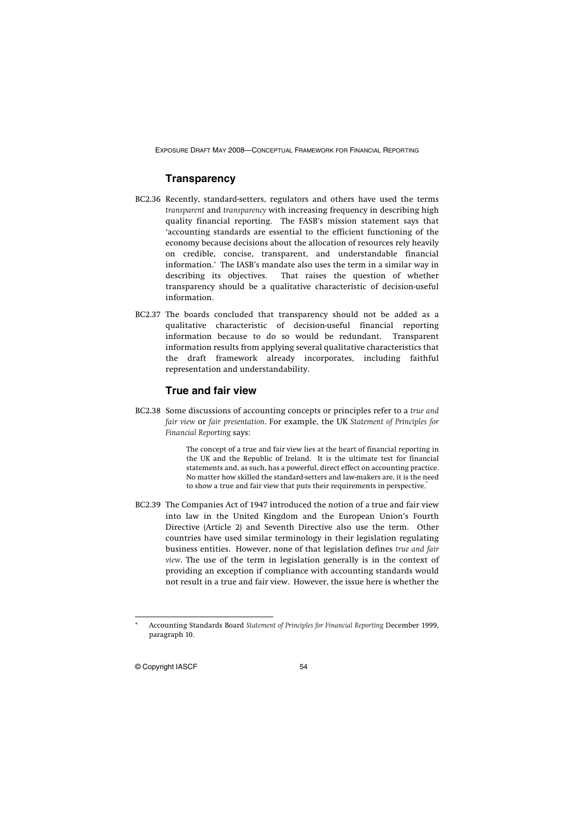# **Transparency**

- BC2.36 Recently, standard-setters, regulators and others have used the terms *transparent* and *transparency* with increasing frequency in describing high quality financial reporting. The FASB's mission statement says that 'accounting standards are essential to the efficient functioning of the economy because decisions about the allocation of resources rely heavily on credible, concise, transparent, and understandable financial information.' The IASB's mandate also uses the term in a similar way in describing its objectives. That raises the question of whether transparency should be a qualitative characteristic of decision-useful information.
- BC2.37 The boards concluded that transparency should not be added as a qualitative characteristic of decision-useful financial reporting information because to do so would be redundant. Transparent information results from applying several qualitative characteristics that the draft framework already incorporates, including faithful representation and understandability.

#### **True and fair view**

BC2.38 Some discussions of accounting concepts or principles refer to a *true and fair view* or *fair presentation*. For example, the UK *Statement of Principles for Financial Reporting* says:

> The concept of a true and fair view lies at the heart of financial reporting in the UK and the Republic of Ireland. It is the ultimate test for financial statements and, as such, has a powerful, direct effect on accounting practice. No matter how skilled the standard-setters and law-makers are, it is the need to show a true and fair view that puts their requirements in perspective.<sup>\*</sup>

BC2.39 The Companies Act of 1947 introduced the notion of a true and fair view into law in the United Kingdom and the European Union's Fourth Directive (Article 2) and Seventh Directive also use the term. Other countries have used similar terminology in their legislation regulating business entities. However, none of that legislation defines *true and fair view*. The use of the term in legislation generally is in the context of providing an exception if compliance with accounting standards would not result in a true and fair view. However, the issue here is whether the

<sup>\*</sup> Accounting Standards Board *Statement of Principles for Financial Reporting* December 1999, paragraph 10.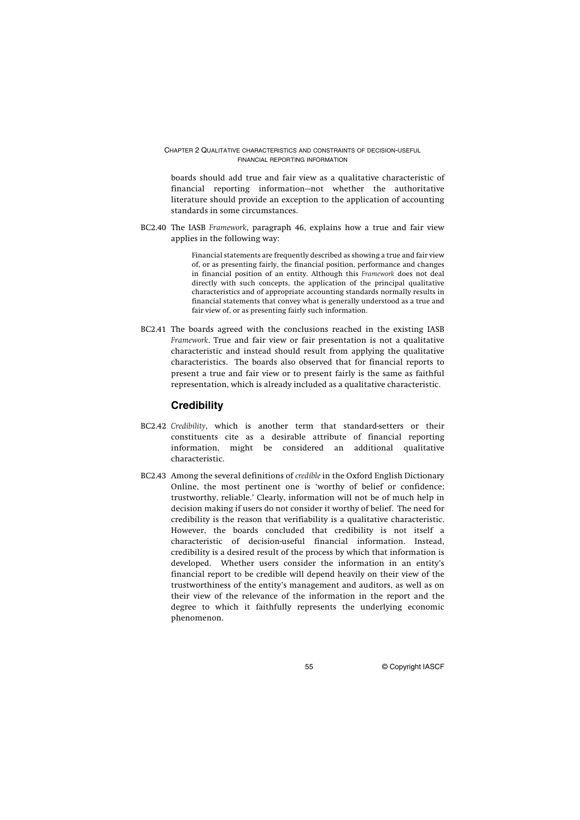boards should add true and fair view as a qualitative characteristic of financial reporting information—not whether the authoritative literature should provide an exception to the application of accounting standards in some circumstances.

BC2.40 The IASB *Framework*, paragraph 46, explains how a true and fair view applies in the following way:

> Financial statements are frequently described as showing a true and fair view of, or as presenting fairly, the financial position, performance and changes in financial position of an entity. Although this *Framework* does not deal directly with such concepts, the application of the principal qualitative characteristics and of appropriate accounting standards normally results in financial statements that convey what is generally understood as a true and fair view of, or as presenting fairly such information.

BC2.41 The boards agreed with the conclusions reached in the existing IASB *Framework*. True and fair view or fair presentation is not a qualitative characteristic and instead should result from applying the qualitative characteristics. The boards also observed that for financial reports to present a true and fair view or to present fairly is the same as faithful representation, which is already included as a qualitative characteristic.

# **Credibility**

- BC2.42 *Credibility*, which is another term that standard-setters or their constituents cite as a desirable attribute of financial reporting information, might be considered an additional qualitative characteristic.
- BC2.43 Among the several definitions of *credible* in the Oxford English Dictionary Online, the most pertinent one is 'worthy of belief or confidence; trustworthy, reliable.' Clearly, information will not be of much help in decision making if users do not consider it worthy of belief. The need for credibility is the reason that verifiability is a qualitative characteristic. However, the boards concluded that credibility is not itself a characteristic of decision-useful financial information. Instead, credibility is a desired result of the process by which that information is developed. Whether users consider the information in an entity's financial report to be credible will depend heavily on their view of the trustworthiness of the entity's management and auditors, as well as on their view of the relevance of the information in the report and the degree to which it faithfully represents the underlying economic phenomenon.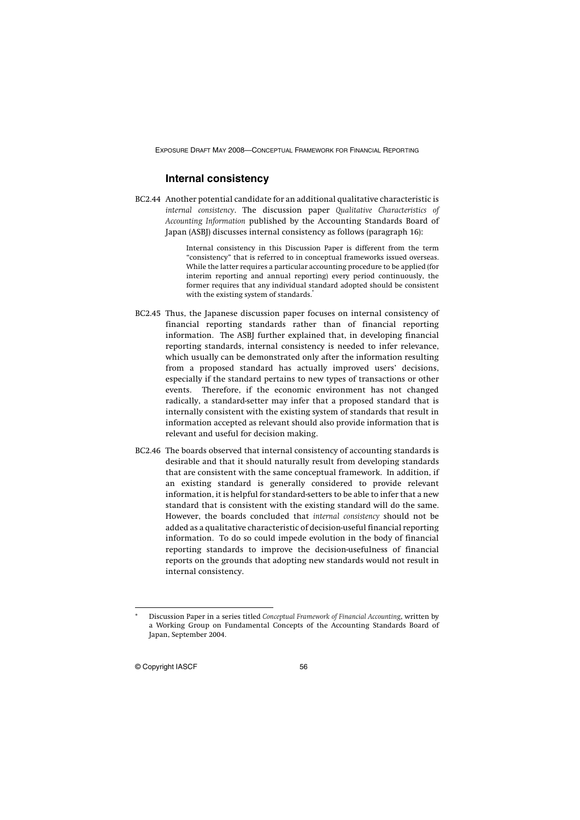#### **Internal consistency**

BC2.44 Another potential candidate for an additional qualitative characteristic is *internal consistency*. The discussion paper *Qualitative Characteristics of Accounting Information* published by the Accounting Standards Board of Japan (ASBJ) discusses internal consistency as follows (paragraph 16):

> Internal consistency in this Discussion Paper is different from the term "consistency" that is referred to in conceptual frameworks issued overseas. While the latter requires a particular accounting procedure to be applied (for interim reporting and annual reporting) every period continuously, the former requires that any individual standard adopted should be consistent with the existing system of standards.<sup>\*</sup>

- BC2.45 Thus, the Japanese discussion paper focuses on internal consistency of financial reporting standards rather than of financial reporting information. The ASBJ further explained that, in developing financial reporting standards, internal consistency is needed to infer relevance, which usually can be demonstrated only after the information resulting from a proposed standard has actually improved users' decisions, especially if the standard pertains to new types of transactions or other events. Therefore, if the economic environment has not changed radically, a standard-setter may infer that a proposed standard that is internally consistent with the existing system of standards that result in information accepted as relevant should also provide information that is relevant and useful for decision making.
- BC2.46 The boards observed that internal consistency of accounting standards is desirable and that it should naturally result from developing standards that are consistent with the same conceptual framework. In addition, if an existing standard is generally considered to provide relevant information, it is helpful for standard-setters to be able to infer that a new standard that is consistent with the existing standard will do the same. However, the boards concluded that *internal consistency* should not be added as a qualitative characteristic of decision-useful financial reporting information. To do so could impede evolution in the body of financial reporting standards to improve the decision-usefulness of financial reports on the grounds that adopting new standards would not result in internal consistency.

<sup>\*</sup> Discussion Paper in a series titled *Conceptual Framework of Financial Accounting*, written by a Working Group on Fundamental Concepts of the Accounting Standards Board of Japan, September 2004.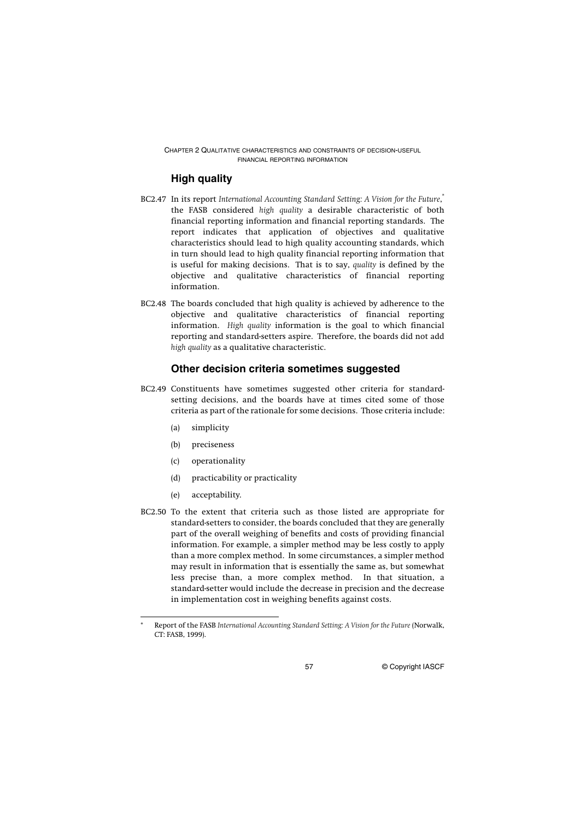# **High quality**

- BC2.47 In its report *International Accounting Standard Setting: A Vision for the Future*, \* the FASB considered *high quality* a desirable characteristic of both financial reporting information and financial reporting standards. The report indicates that application of objectives and qualitative characteristics should lead to high quality accounting standards, which in turn should lead to high quality financial reporting information that is useful for making decisions. That is to say, *quality* is defined by the objective and qualitative characteristics of financial reporting information.
- BC2.48 The boards concluded that high quality is achieved by adherence to the objective and qualitative characteristics of financial reporting information. *High quality* information is the goal to which financial reporting and standard-setters aspire. Therefore, the boards did not add *high quality* as a qualitative characteristic.

#### **Other decision criteria sometimes suggested**

- BC2.49 Constituents have sometimes suggested other criteria for standardsetting decisions, and the boards have at times cited some of those criteria as part of the rationale for some decisions. Those criteria include:
	- (a) simplicity
	- (b) preciseness
	- (c) operationality
	- (d) practicability or practicality
	- (e) acceptability.
- BC2.50 To the extent that criteria such as those listed are appropriate for standard-setters to consider, the boards concluded that they are generally part of the overall weighing of benefits and costs of providing financial information. For example, a simpler method may be less costly to apply than a more complex method. In some circumstances, a simpler method may result in information that is essentially the same as, but somewhat less precise than, a more complex method. In that situation, a standard-setter would include the decrease in precision and the decrease in implementation cost in weighing benefits against costs.

<sup>\*</sup> Report of the FASB *International Accounting Standard Setting: A Vision for the Future* (Norwalk, CT: FASB, 1999).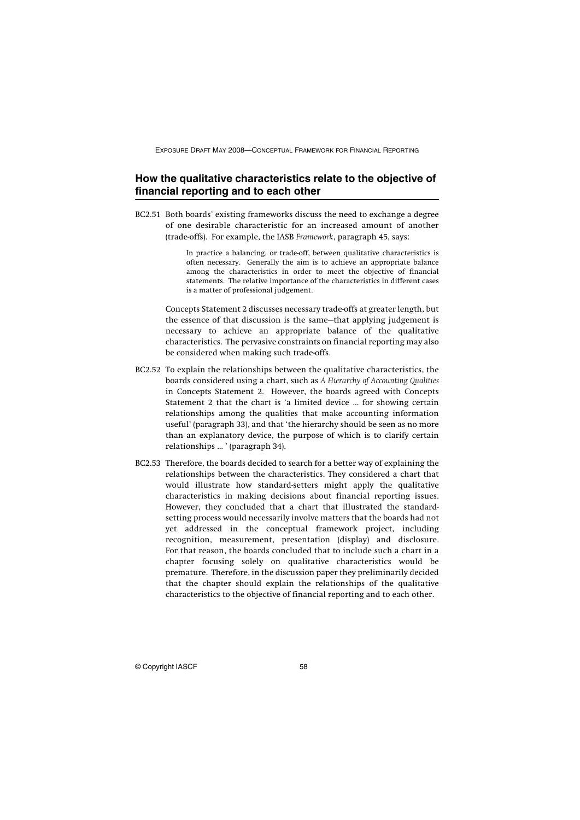# **How the qualitative characteristics relate to the objective of financial reporting and to each other**

BC2.51 Both boards' existing frameworks discuss the need to exchange a degree of one desirable characteristic for an increased amount of another (trade-offs). For example, the IASB *Framework*, paragraph 45, says:

> In practice a balancing, or trade-off, between qualitative characteristics is often necessary. Generally the aim is to achieve an appropriate balance among the characteristics in order to meet the objective of financial statements. The relative importance of the characteristics in different cases is a matter of professional judgement.

Concepts Statement 2 discusses necessary trade-offs at greater length, but the essence of that discussion is the same—that applying judgement is necessary to achieve an appropriate balance of the qualitative characteristics. The pervasive constraints on financial reporting may also be considered when making such trade-offs.

- BC2.52 To explain the relationships between the qualitative characteristics, the boards considered using a chart, such as *A Hierarchy of Accounting Qualities* in Concepts Statement 2. However, the boards agreed with Concepts Statement 2 that the chart is 'a limited device … for showing certain relationships among the qualities that make accounting information useful' (paragraph 33), and that 'the hierarchy should be seen as no more than an explanatory device, the purpose of which is to clarify certain relationships … ' (paragraph 34).
- BC2.53 Therefore, the boards decided to search for a better way of explaining the relationships between the characteristics. They considered a chart that would illustrate how standard-setters might apply the qualitative characteristics in making decisions about financial reporting issues. However, they concluded that a chart that illustrated the standardsetting process would necessarily involve matters that the boards had not yet addressed in the conceptual framework project, including recognition, measurement, presentation (display) and disclosure. For that reason, the boards concluded that to include such a chart in a chapter focusing solely on qualitative characteristics would be premature. Therefore, in the discussion paper they preliminarily decided that the chapter should explain the relationships of the qualitative characteristics to the objective of financial reporting and to each other.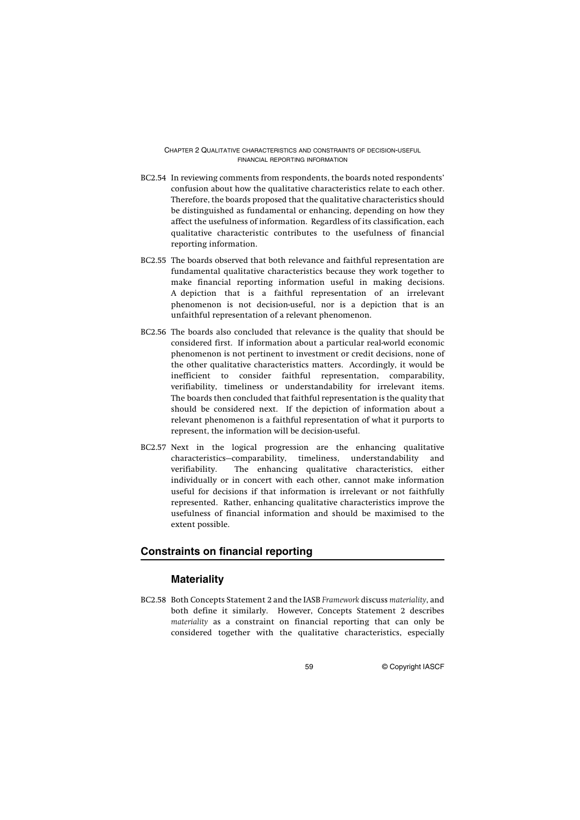- BC2.54 In reviewing comments from respondents, the boards noted respondents' confusion about how the qualitative characteristics relate to each other. Therefore, the boards proposed that the qualitative characteristics should be distinguished as fundamental or enhancing, depending on how they affect the usefulness of information. Regardless of its classification, each qualitative characteristic contributes to the usefulness of financial reporting information.
- BC2.55 The boards observed that both relevance and faithful representation are fundamental qualitative characteristics because they work together to make financial reporting information useful in making decisions. A depiction that is a faithful representation of an irrelevant phenomenon is not decision-useful, nor is a depiction that is an unfaithful representation of a relevant phenomenon.
- BC2.56 The boards also concluded that relevance is the quality that should be considered first. If information about a particular real-world economic phenomenon is not pertinent to investment or credit decisions, none of the other qualitative characteristics matters. Accordingly, it would be inefficient to consider faithful representation, comparability, verifiability, timeliness or understandability for irrelevant items. The boards then concluded that faithful representation is the quality that should be considered next. If the depiction of information about a relevant phenomenon is a faithful representation of what it purports to represent, the information will be decision-useful.
- BC2.57 Next in the logical progression are the enhancing qualitative characteristics—comparability, timeliness, understandability and verifiability. The enhancing qualitative characteristics, either individually or in concert with each other, cannot make information useful for decisions if that information is irrelevant or not faithfully represented. Rather, enhancing qualitative characteristics improve the usefulness of financial information and should be maximised to the extent possible.

# **Constraints on financial reporting**

# **Materiality**

BC2.58 Both Concepts Statement 2 and the IASB *Framework* discuss *materiality*, and both define it similarly. However, Concepts Statement 2 describes *materiality* as a constraint on financial reporting that can only be considered together with the qualitative characteristics, especially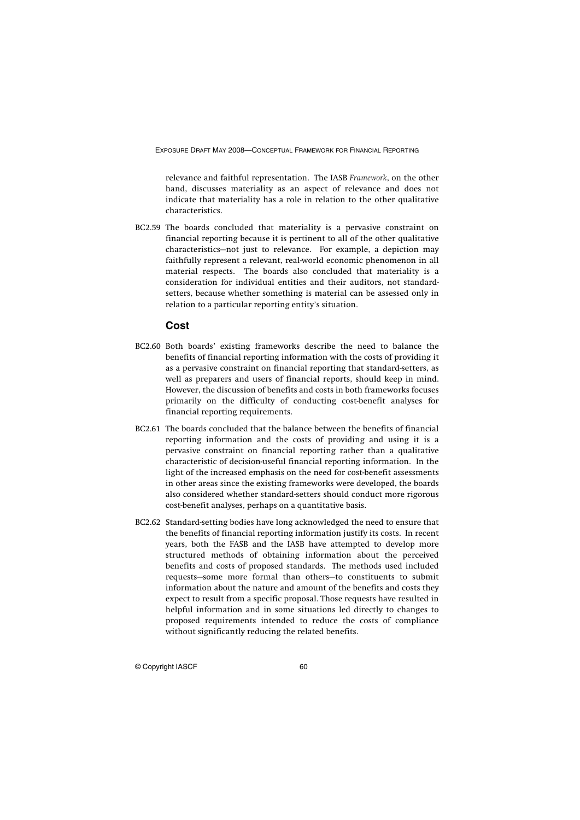relevance and faithful representation. The IASB *Framework*, on the other hand, discusses materiality as an aspect of relevance and does not indicate that materiality has a role in relation to the other qualitative characteristics.

BC2.59 The boards concluded that materiality is a pervasive constraint on financial reporting because it is pertinent to all of the other qualitative characteristics—not just to relevance. For example, a depiction may faithfully represent a relevant, real-world economic phenomenon in all material respects. The boards also concluded that materiality is a consideration for individual entities and their auditors, not standardsetters, because whether something is material can be assessed only in relation to a particular reporting entity's situation.

#### **Cost**

- BC2.60 Both boards' existing frameworks describe the need to balance the benefits of financial reporting information with the costs of providing it as a pervasive constraint on financial reporting that standard-setters, as well as preparers and users of financial reports, should keep in mind. However, the discussion of benefits and costs in both frameworks focuses primarily on the difficulty of conducting cost-benefit analyses for financial reporting requirements.
- BC2.61 The boards concluded that the balance between the benefits of financial reporting information and the costs of providing and using it is a pervasive constraint on financial reporting rather than a qualitative characteristic of decision-useful financial reporting information. In the light of the increased emphasis on the need for cost-benefit assessments in other areas since the existing frameworks were developed, the boards also considered whether standard-setters should conduct more rigorous cost-benefit analyses, perhaps on a quantitative basis.
- BC2.62 Standard-setting bodies have long acknowledged the need to ensure that the benefits of financial reporting information justify its costs. In recent years, both the FASB and the IASB have attempted to develop more structured methods of obtaining information about the perceived benefits and costs of proposed standards. The methods used included requests—some more formal than others—to constituents to submit information about the nature and amount of the benefits and costs they expect to result from a specific proposal. Those requests have resulted in helpful information and in some situations led directly to changes to proposed requirements intended to reduce the costs of compliance without significantly reducing the related benefits.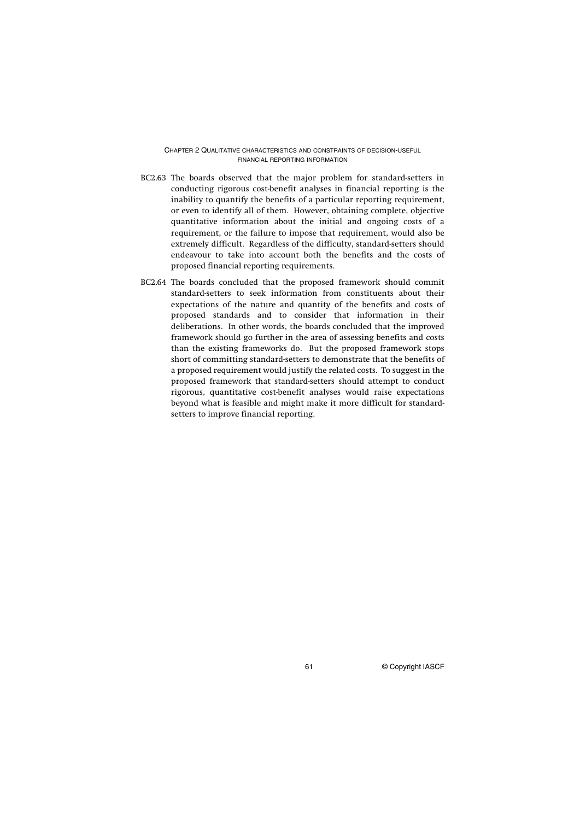- BC2.63 The boards observed that the major problem for standard-setters in conducting rigorous cost-benefit analyses in financial reporting is the inability to quantify the benefits of a particular reporting requirement, or even to identify all of them. However, obtaining complete, objective quantitative information about the initial and ongoing costs of a requirement, or the failure to impose that requirement, would also be extremely difficult. Regardless of the difficulty, standard-setters should endeavour to take into account both the benefits and the costs of proposed financial reporting requirements.
- BC2.64 The boards concluded that the proposed framework should commit standard-setters to seek information from constituents about their expectations of the nature and quantity of the benefits and costs of proposed standards and to consider that information in their deliberations. In other words, the boards concluded that the improved framework should go further in the area of assessing benefits and costs than the existing frameworks do. But the proposed framework stops short of committing standard-setters to demonstrate that the benefits of a proposed requirement would justify the related costs. To suggest in the proposed framework that standard-setters should attempt to conduct rigorous, quantitative cost-benefit analyses would raise expectations beyond what is feasible and might make it more difficult for standardsetters to improve financial reporting.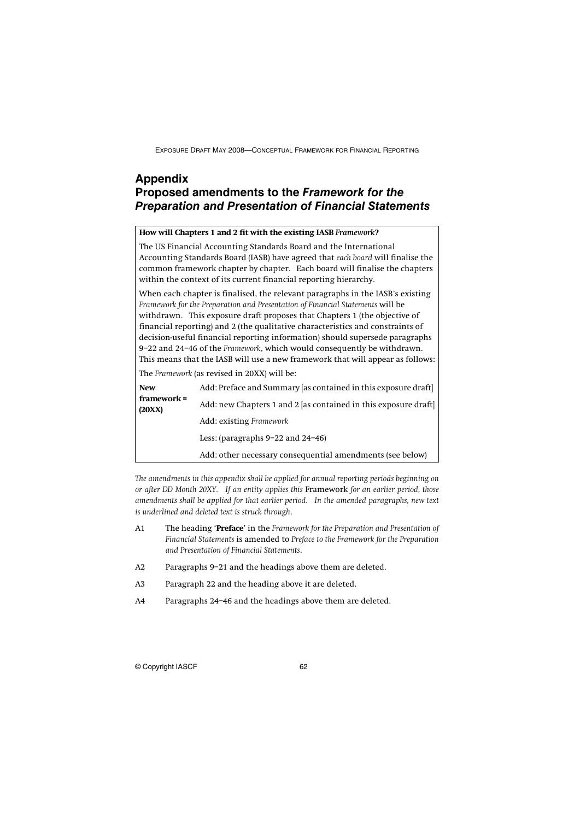# **Appendix Proposed amendments to the** *Framework for the Preparation and Presentation of Financial Statements*

**How will Chapters 1 and 2 fit with the existing IASB** *Framework***?**

The US Financial Accounting Standards Board and the International Accounting Standards Board (IASB) have agreed that *each board* will finalise the common framework chapter by chapter. Each board will finalise the chapters within the context of its current financial reporting hierarchy.

When each chapter is finalised, the relevant paragraphs in the IASB's existing *Framework for the Preparation and Presentation of Financial Statements* will be withdrawn. This exposure draft proposes that Chapters 1 (the objective of financial reporting) and 2 (the qualitative characteristics and constraints of decision-useful financial reporting information) should supersede paragraphs 9–22 and 24–46 of the *Framework*, which would consequently be withdrawn. This means that the IASB will use a new framework that will appear as follows: The *Framework* (as revised in 20XX) will be:

| <b>New</b>            | Add: Preface and Summary [as contained in this exposure draft]  |
|-----------------------|-----------------------------------------------------------------|
| framework =<br>(20XX) | Add: new Chapters 1 and 2 [as contained in this exposure draft] |
|                       | Add: existing Framework                                         |
|                       | Less: (paragraphs $9-22$ and $24-46$ )                          |
|                       | Add: other necessary consequential amendments (see below)       |

*The amendments in this appendix shall be applied for annual reporting periods beginning on or after DD Month 20XY. If an entity applies this* Framework *for an earlier period, those amendments shall be applied for that earlier period. In the amended paragraphs, new text is underlined and deleted text is struck through*.

- A1 The heading '**Preface**' in the *Framework for the Preparation and Presentation of Financial Statements* is amended to *Preface to the Framework for the Preparation and Presentation of Financial Statements*.
- A2 Paragraphs 9–21 and the headings above them are deleted.
- A3 Paragraph 22 and the heading above it are deleted.
- A4 Paragraphs 24–46 and the headings above them are deleted.